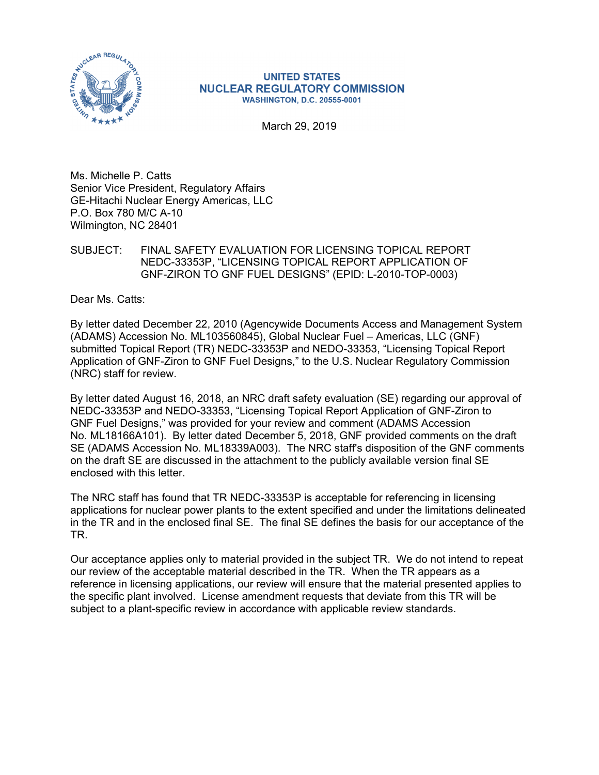

#### **UNITED STATES NUCLEAR REGULATORY COMMISSION WASHINGTON, D.C. 20555-0001**

March 29, 2019

Ms. Michelle P. Catts Senior Vice President, Regulatory Affairs GE-Hitachi Nuclear Energy Americas, LLC P.O. Box 780 M/C A-10 Wilmington, NC 28401

SUBJECT: FINAL SAFETY EVALUATION FOR LICENSING TOPICAL REPORT NEDC-33353P, "LICENSING TOPICAL REPORT APPLICATION OF GNF-ZIRON TO GNF FUEL DESIGNS" (EPID: L-2010-TOP-0003)

Dear Ms. Catts:

By letter dated December 22, 2010 (Agencywide Documents Access and Management System (ADAMS) Accession No. ML103560845), Global Nuclear Fuel – Americas, LLC (GNF) submitted Topical Report (TR) NEDC-33353P and NEDO-33353, "Licensing Topical Report Application of GNF-Ziron to GNF Fuel Designs," to the U.S. Nuclear Regulatory Commission (NRC) staff for review.

By letter dated August 16, 2018, an NRC draft safety evaluation (SE) regarding our approval of NEDC-33353P and NEDO-33353, "Licensing Topical Report Application of GNF-Ziron to GNF Fuel Designs," was provided for your review and comment (ADAMS Accession No. ML18166A101). By letter dated December 5, 2018, GNF provided comments on the draft SE (ADAMS Accession No. ML18339A003). The NRC staff's disposition of the GNF comments on the draft SE are discussed in the attachment to the publicly available version final SE enclosed with this letter.

The NRC staff has found that TR NEDC-33353P is acceptable for referencing in licensing applications for nuclear power plants to the extent specified and under the limitations delineated in the TR and in the enclosed final SE. The final SE defines the basis for our acceptance of the TR.

Our acceptance applies only to material provided in the subject TR. We do not intend to repeat our review of the acceptable material described in the TR. When the TR appears as a reference in licensing applications, our review will ensure that the material presented applies to the specific plant involved. License amendment requests that deviate from this TR will be subject to a plant-specific review in accordance with applicable review standards.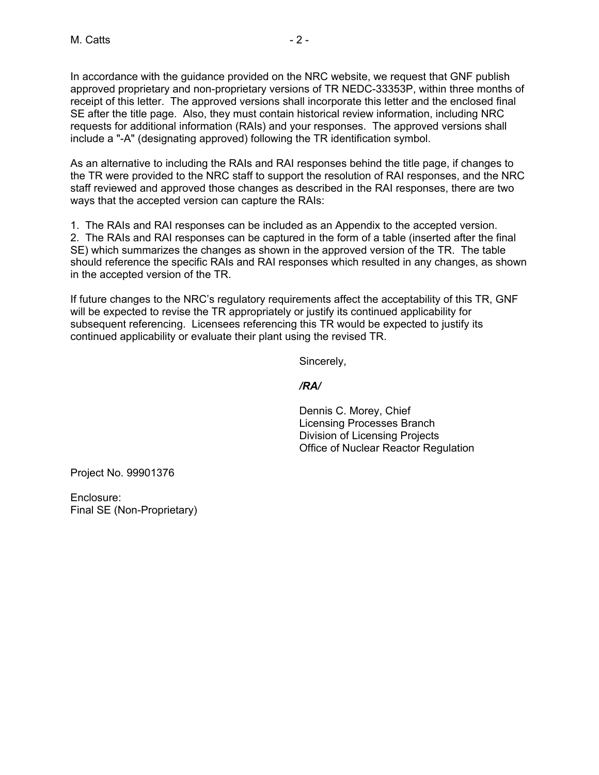In accordance with the guidance provided on the NRC website, we request that GNF publish approved proprietary and non-proprietary versions of TR NEDC-33353P, within three months of receipt of this letter. The approved versions shall incorporate this letter and the enclosed final SE after the title page. Also, they must contain historical review information, including NRC requests for additional information (RAIs) and your responses. The approved versions shall include a "-A" (designating approved) following the TR identification symbol.

As an alternative to including the RAIs and RAI responses behind the title page, if changes to the TR were provided to the NRC staff to support the resolution of RAI responses, and the NRC staff reviewed and approved those changes as described in the RAI responses, there are two ways that the accepted version can capture the RAIs:

1. The RAIs and RAI responses can be included as an Appendix to the accepted version. 2. The RAIs and RAI responses can be captured in the form of a table (inserted after the final SE) which summarizes the changes as shown in the approved version of the TR. The table should reference the specific RAIs and RAI responses which resulted in any changes, as shown in the accepted version of the TR.

If future changes to the NRC's regulatory requirements affect the acceptability of this TR, GNF will be expected to revise the TR appropriately or justify its continued applicability for subsequent referencing. Licensees referencing this TR would be expected to justify its continued applicability or evaluate their plant using the revised TR.

Sincerely,

*/RA/* 

Dennis C. Morey, Chief Licensing Processes Branch Division of Licensing Projects Office of Nuclear Reactor Regulation

Project No. 99901376

Enclosure: Final SE (Non-Proprietary)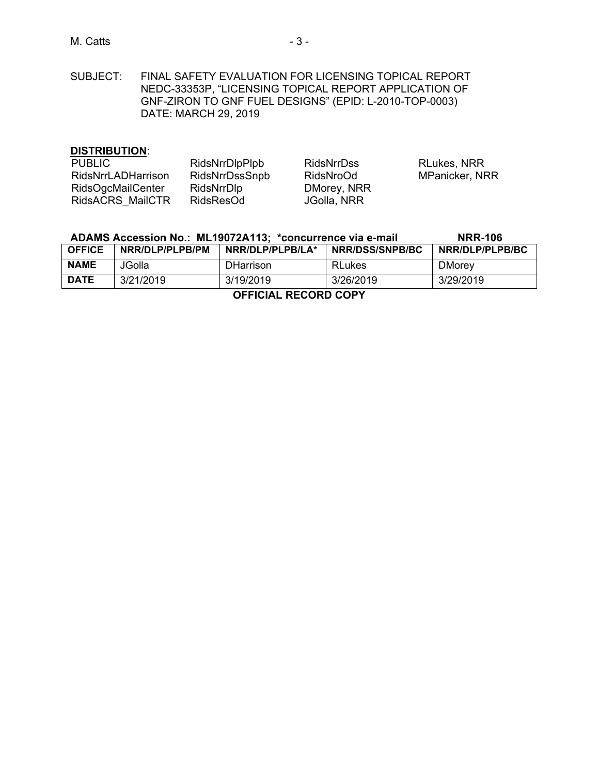# M. Catts **- 3 -** 3 -

SUBJECT: FINAL SAFETY EVALUATION FOR LICENSING TOPICAL REPORT NEDC-33353P, "LICENSING TOPICAL REPORT APPLICATION OF GNF-ZIRON TO GNF FUEL DESIGNS" (EPID: L-2010-TOP-0003) DATE: MARCH 29, 2019

### **DISTRIBUTION**:

| <b>PUBLIC</b>            | RidsNrrDlpPlpb | <b>RidsNrrDss</b> | <b>RLukes, NRR</b> |
|--------------------------|----------------|-------------------|--------------------|
| RidsNrrLADHarrison       | RidsNrrDssSnpb | RidsNroOd         | MPanicker, NRR     |
| <b>RidsOgcMailCenter</b> | RidsNrrDlp     | DMorey, NRR       |                    |
| RidsACRS MailCTR         | RidsResOd      | JGolla, NRR       |                    |

| ADAMS Accession No.: ML19072A113; *concurrence via e-mail |                  |                  | <b>NRR-106</b>         |                 |
|-----------------------------------------------------------|------------------|------------------|------------------------|-----------------|
| <b>OFFICE</b>                                             | INRR/DLP/PLPB/PM | NRR/DLP/PLPB/LA* | <b>NRR/DSS/SNPB/BC</b> | NRR/DLP/PLPB/BC |
| <b>NAME</b>                                               | JGolla           | <b>DHarrison</b> | <b>RLukes</b>          | <b>DMorey</b>   |
| <b>DATE</b>                                               | 3/21/2019        | 3/19/2019        | 3/26/2019              | 3/29/2019       |
| AFFICIAL BECARD CODY                                      |                  |                  |                        |                 |

**OFFICIAL RECORD COPY**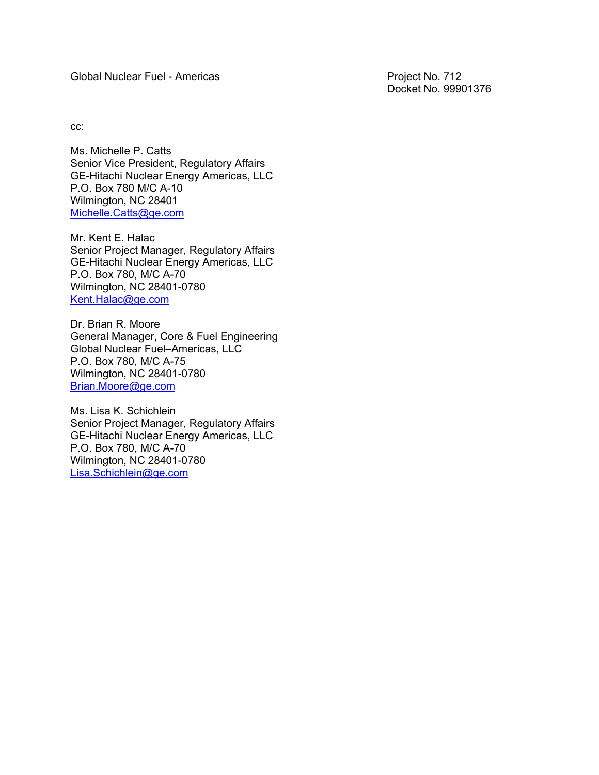Global Nuclear Fuel - Americas **Project No. 712** 

Docket No. 99901376

cc:

Ms. Michelle P. Catts Senior Vice President, Regulatory Affairs GE-Hitachi Nuclear Energy Americas, LLC P.O. Box 780 M/C A-10 Wilmington, NC 28401 Michelle.Catts@ge.com

Mr. Kent E. Halac Senior Project Manager, Regulatory Affairs GE-Hitachi Nuclear Energy Americas, LLC P.O. Box 780, M/C A-70 Wilmington, NC 28401-0780 Kent.Halac@ge.com

Dr. Brian R. Moore General Manager, Core & Fuel Engineering Global Nuclear Fuel–Americas, LLC P.O. Box 780, M/C A-75 Wilmington, NC 28401-0780 Brian.Moore@ge.com

Ms. Lisa K. Schichlein Senior Project Manager, Regulatory Affairs GE-Hitachi Nuclear Energy Americas, LLC P.O. Box 780, M/C A-70 Wilmington, NC 28401-0780 Lisa.Schichlein@ge.com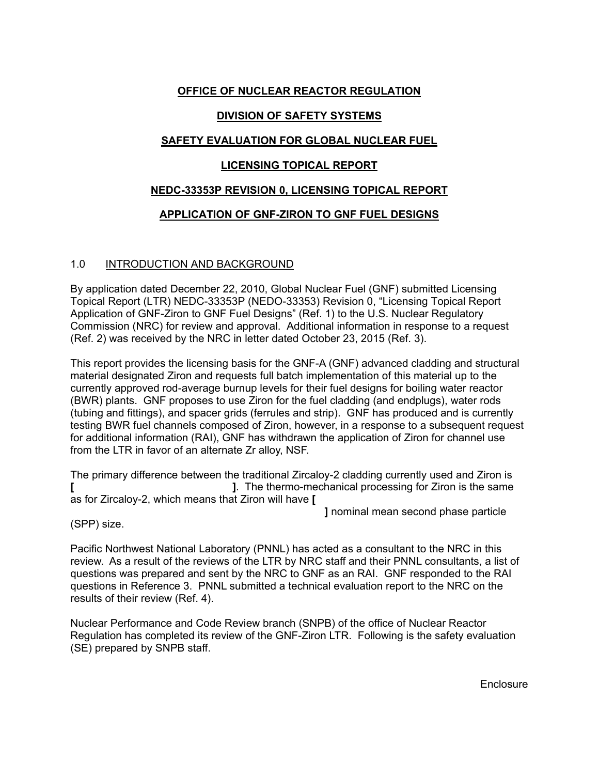# **OFFICE OF NUCLEAR REACTOR REGULATION**

# **DIVISION OF SAFETY SYSTEMS**

# **SAFETY EVALUATION FOR GLOBAL NUCLEAR FUEL**

# **LICENSING TOPICAL REPORT**

# **NEDC-33353P REVISION 0, LICENSING TOPICAL REPORT**

# **APPLICATION OF GNF-ZIRON TO GNF FUEL DESIGNS**

# 1.0 INTRODUCTION AND BACKGROUND

By application dated December 22, 2010, Global Nuclear Fuel (GNF) submitted Licensing Topical Report (LTR) NEDC-33353P (NEDO-33353) Revision 0, "Licensing Topical Report Application of GNF-Ziron to GNF Fuel Designs" (Ref. 1) to the U.S. Nuclear Regulatory Commission (NRC) for review and approval. Additional information in response to a request (Ref. 2) was received by the NRC in letter dated October 23, 2015 (Ref. 3).

This report provides the licensing basis for the GNF-A (GNF) advanced cladding and structural material designated Ziron and requests full batch implementation of this material up to the currently approved rod-average burnup levels for their fuel designs for boiling water reactor (BWR) plants. GNF proposes to use Ziron for the fuel cladding (and endplugs), water rods (tubing and fittings), and spacer grids (ferrules and strip). GNF has produced and is currently testing BWR fuel channels composed of Ziron, however, in a response to a subsequent request for additional information (RAI), GNF has withdrawn the application of Ziron for channel use from the LTR in favor of an alternate Zr alloy, NSF.

The primary difference between the traditional Zircaloy-2 cladding currently used and Ziron is **[ ]**. The thermo-mechanical processing for Ziron is the same as for Zircaloy-2, which means that Ziron will have **[** 

 **]** nominal mean second phase particle

(SPP) size.

Pacific Northwest National Laboratory (PNNL) has acted as a consultant to the NRC in this review. As a result of the reviews of the LTR by NRC staff and their PNNL consultants, a list of questions was prepared and sent by the NRC to GNF as an RAI. GNF responded to the RAI questions in Reference 3. PNNL submitted a technical evaluation report to the NRC on the results of their review (Ref. 4).

Nuclear Performance and Code Review branch (SNPB) of the office of Nuclear Reactor Regulation has completed its review of the GNF-Ziron LTR. Following is the safety evaluation (SE) prepared by SNPB staff.

Enclosure and the contract of the contract of the contract of the Enclosure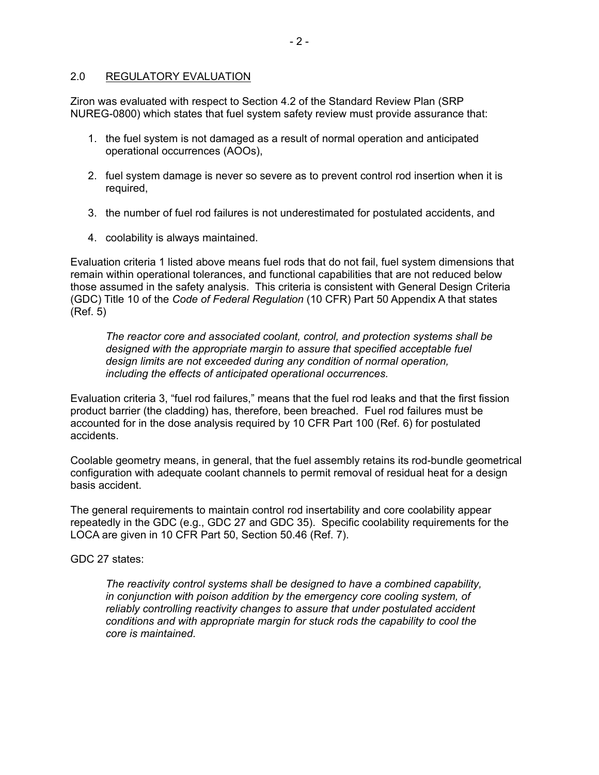# 2.0 REGULATORY EVALUATION

Ziron was evaluated with respect to Section 4.2 of the Standard Review Plan (SRP NUREG-0800) which states that fuel system safety review must provide assurance that:

- 1. the fuel system is not damaged as a result of normal operation and anticipated operational occurrences (AOOs),
- 2. fuel system damage is never so severe as to prevent control rod insertion when it is required,
- 3. the number of fuel rod failures is not underestimated for postulated accidents, and
- 4. coolability is always maintained.

Evaluation criteria 1 listed above means fuel rods that do not fail, fuel system dimensions that remain within operational tolerances, and functional capabilities that are not reduced below those assumed in the safety analysis. This criteria is consistent with General Design Criteria (GDC) Title 10 of the *Code of Federal Regulation* (10 CFR) Part 50 Appendix A that states (Ref. 5)

*The reactor core and associated coolant, control, and protection systems shall be designed with the appropriate margin to assure that specified acceptable fuel design limits are not exceeded during any condition of normal operation, including the effects of anticipated operational occurrences.* 

Evaluation criteria 3, "fuel rod failures," means that the fuel rod leaks and that the first fission product barrier (the cladding) has, therefore, been breached. Fuel rod failures must be accounted for in the dose analysis required by 10 CFR Part 100 (Ref. 6) for postulated accidents.

Coolable geometry means, in general, that the fuel assembly retains its rod-bundle geometrical configuration with adequate coolant channels to permit removal of residual heat for a design basis accident.

The general requirements to maintain control rod insertability and core coolability appear repeatedly in the GDC (e.g., GDC 27 and GDC 35). Specific coolability requirements for the LOCA are given in 10 CFR Part 50, Section 50.46 (Ref. 7).

GDC 27 states:

*The reactivity control systems shall be designed to have a combined capability, in conjunction with poison addition by the emergency core cooling system, of reliably controlling reactivity changes to assure that under postulated accident conditions and with appropriate margin for stuck rods the capability to cool the core is maintained.*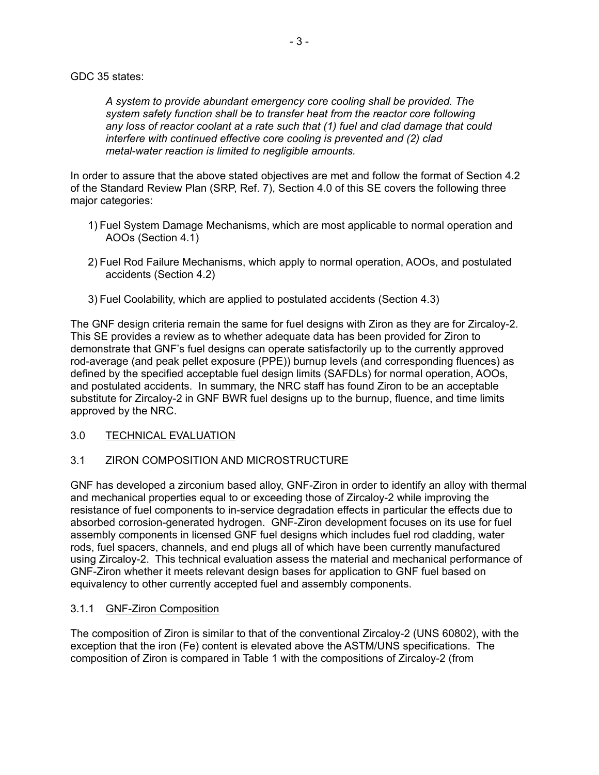#### GDC 35 states:

*A system to provide abundant emergency core cooling shall be provided. The system safety function shall be to transfer heat from the reactor core following any loss of reactor coolant at a rate such that (1) fuel and clad damage that could interfere with continued effective core cooling is prevented and (2) clad metal-water reaction is limited to negligible amounts.* 

In order to assure that the above stated objectives are met and follow the format of Section 4.2 of the Standard Review Plan (SRP, Ref. 7), Section 4.0 of this SE covers the following three major categories:

- 1) Fuel System Damage Mechanisms, which are most applicable to normal operation and AOOs (Section 4.1)
- 2) Fuel Rod Failure Mechanisms, which apply to normal operation, AOOs, and postulated accidents (Section 4.2)
- 3) Fuel Coolability, which are applied to postulated accidents (Section 4.3)

The GNF design criteria remain the same for fuel designs with Ziron as they are for Zircaloy-2. This SE provides a review as to whether adequate data has been provided for Ziron to demonstrate that GNF's fuel designs can operate satisfactorily up to the currently approved rod-average (and peak pellet exposure (PPE)) burnup levels (and corresponding fluences) as defined by the specified acceptable fuel design limits (SAFDLs) for normal operation, AOOs, and postulated accidents. In summary, the NRC staff has found Ziron to be an acceptable substitute for Zircaloy-2 in GNF BWR fuel designs up to the burnup, fluence, and time limits approved by the NRC.

# 3.0 TECHNICAL EVALUATION

# 3.1 ZIRON COMPOSITION AND MICROSTRUCTURE

GNF has developed a zirconium based alloy, GNF-Ziron in order to identify an alloy with thermal and mechanical properties equal to or exceeding those of Zircaloy-2 while improving the resistance of fuel components to in-service degradation effects in particular the effects due to absorbed corrosion-generated hydrogen. GNF-Ziron development focuses on its use for fuel assembly components in licensed GNF fuel designs which includes fuel rod cladding, water rods, fuel spacers, channels, and end plugs all of which have been currently manufactured using Zircaloy-2. This technical evaluation assess the material and mechanical performance of GNF-Ziron whether it meets relevant design bases for application to GNF fuel based on equivalency to other currently accepted fuel and assembly components.

# 3.1.1 GNF-Ziron Composition

The composition of Ziron is similar to that of the conventional Zircaloy-2 (UNS 60802), with the exception that the iron (Fe) content is elevated above the ASTM/UNS specifications. The composition of Ziron is compared in Table 1 with the compositions of Zircaloy-2 (from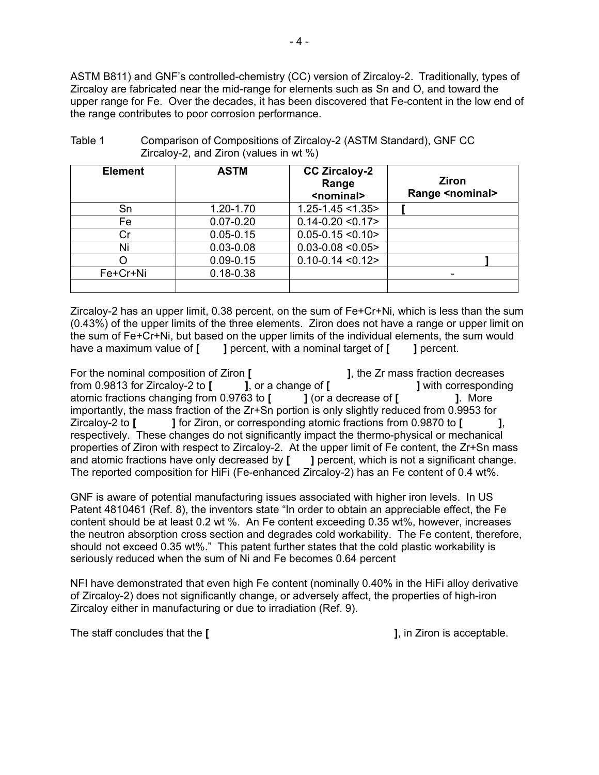ASTM B811) and GNF's controlled-chemistry (CC) version of Zircaloy-2. Traditionally, types of Zircaloy are fabricated near the mid-range for elements such as Sn and O, and toward the upper range for Fe. Over the decades, it has been discovered that Fe-content in the low end of the range contributes to poor corrosion performance.

| <b>Element</b> | <b>ASTM</b>   | <b>CC Zircaloy-2</b><br>Range<br><nominal></nominal> | Ziron<br><b>Range <nominal></nominal></b> |
|----------------|---------------|------------------------------------------------------|-------------------------------------------|
| Sn             | 1.20-1.70     | $1.25 - 1.45 < 1.35$                                 |                                           |
| Fe             | $0.07 - 0.20$ | $0.14 - 0.20 \le 0.17$                               |                                           |
| Cr             | $0.05 - 0.15$ | $0.05 - 0.15 < 0.10$                                 |                                           |
| Ni             | $0.03 - 0.08$ | $0.03 - 0.08 < 0.05$                                 |                                           |
|                | $0.09 - 0.15$ | $0.10 - 0.14 < 0.12$                                 |                                           |
| Fe+Cr+Ni       | $0.18 - 0.38$ |                                                      |                                           |
|                |               |                                                      |                                           |

| Table 1 | Comparison of Compositions of Zircaloy-2 (ASTM Standard), GNF CC |
|---------|------------------------------------------------------------------|
|         | Zircaloy-2, and Ziron (values in wt $\%$ )                       |

Zircaloy-2 has an upper limit, 0.38 percent, on the sum of Fe+Cr+Ni, which is less than the sum (0.43%) of the upper limits of the three elements. Ziron does not have a range or upper limit on the sum of Fe+Cr+Ni, but based on the upper limits of the individual elements, the sum would have a maximum value of **[ ]** percent, with a nominal target of **[ ]** percent.

For the nominal composition of Ziron **[ i**, the Zr mass fraction decreases from 0.9813 for Zircaloy-2 to **[**  $\qquad$  ], or a change of **[**  $\qquad$  ] with corresponding atomic fractions changing from 0.9763 to **[**  $\qquad$  ] (or a decrease of **[**  $\qquad$  ]. More atomic fractions changing from 0.9763 to **[ ]** (or a decrease of **[ ]**. More importantly, the mass fraction of the Zr+Sn portion is only slightly reduced from 0.9953 for Zircaloy-2 to **[ ]** for Ziron, or corresponding atomic fractions from 0.9870 to **[ ]**, respectively. These changes do not significantly impact the thermo-physical or mechanical properties of Ziron with respect to Zircaloy-2. At the upper limit of Fe content, the Zr+Sn mass and atomic fractions have only decreased by **[** ] percent, which is not a significant change. The reported composition for HiFi (Fe-enhanced Zircaloy-2) has an Fe content of 0.4 wt%.

GNF is aware of potential manufacturing issues associated with higher iron levels. In US Patent 4810461 (Ref. 8), the inventors state "In order to obtain an appreciable effect, the Fe content should be at least 0.2 wt %. An Fe content exceeding 0.35 wt%, however, increases the neutron absorption cross section and degrades cold workability. The Fe content, therefore, should not exceed 0.35 wt%." This patent further states that the cold plastic workability is seriously reduced when the sum of Ni and Fe becomes 0.64 percent

NFI have demonstrated that even high Fe content (nominally 0.40% in the HiFi alloy derivative of Zircaloy-2) does not significantly change, or adversely affect, the properties of high-iron Zircaloy either in manufacturing or due to irradiation (Ref. 9).

The staff concludes that the **[ ]**, in Ziron is acceptable.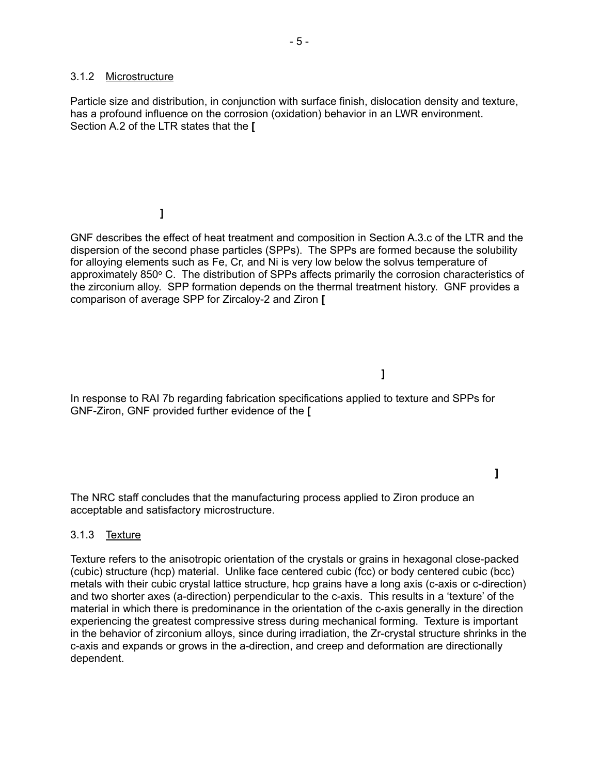#### 3.1.2 Microstructure

Particle size and distribution, in conjunction with surface finish, dislocation density and texture, has a profound influence on the corrosion (oxidation) behavior in an LWR environment. Section A.2 of the LTR states that the **[** 

# **]**

GNF describes the effect of heat treatment and composition in Section A.3.c of the LTR and the dispersion of the second phase particles (SPPs). The SPPs are formed because the solubility for alloying elements such as Fe, Cr, and Ni is very low below the solvus temperature of approximately 850° C. The distribution of SPPs affects primarily the corrosion characteristics of the zirconium alloy. SPP formation depends on the thermal treatment history. GNF provides a comparison of average SPP for Zircaloy-2 and Ziron **[** 

 **]**

In response to RAI 7b regarding fabrication specifications applied to texture and SPPs for GNF-Ziron, GNF provided further evidence of the **[** 

 **]**

The NRC staff concludes that the manufacturing process applied to Ziron produce an acceptable and satisfactory microstructure.

# 3.1.3 Texture

Texture refers to the anisotropic orientation of the crystals or grains in hexagonal close-packed (cubic) structure (hcp) material. Unlike face centered cubic (fcc) or body centered cubic (bcc) metals with their cubic crystal lattice structure, hcp grains have a long axis (c-axis or c-direction) and two shorter axes (a-direction) perpendicular to the c-axis. This results in a 'texture' of the material in which there is predominance in the orientation of the c-axis generally in the direction experiencing the greatest compressive stress during mechanical forming. Texture is important in the behavior of zirconium alloys, since during irradiation, the Zr-crystal structure shrinks in the c-axis and expands or grows in the a-direction, and creep and deformation are directionally dependent.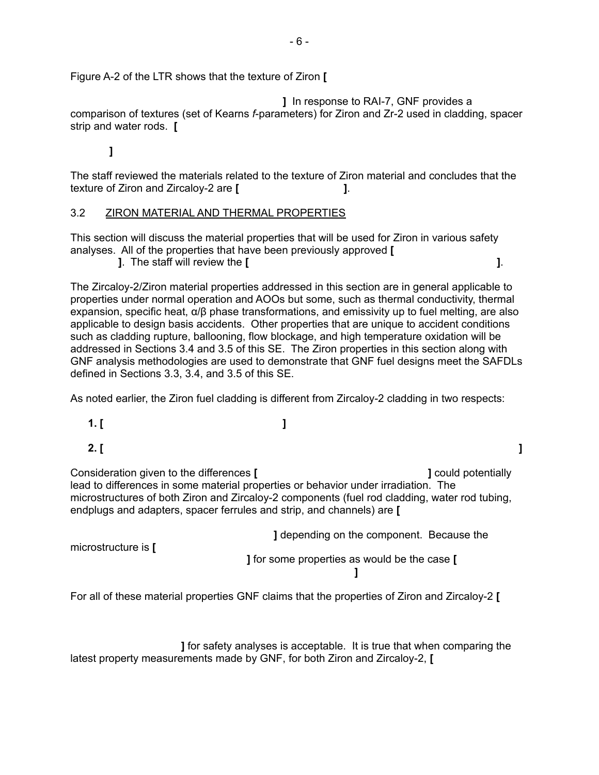Figure A-2 of the LTR shows that the texture of Ziron **[** 

 **]** In response to RAI-7, GNF provides a comparison of textures (set of Kearns *f*-parameters) for Ziron and Zr-2 used in cladding, spacer strip and water rods. **[** 

 **]**

The staff reviewed the materials related to the texture of Ziron material and concludes that the texture of Ziron and Zircaloy-2 are **[ ]**.

#### 3.2 ZIRON MATERIAL AND THERMAL PROPERTIES

This section will discuss the material properties that will be used for Ziron in various safety analyses. All of the properties that have been previously approved **[** 

 **]**. The staff will review the **[ ]**.

The Zircaloy-2/Ziron material properties addressed in this section are in general applicable to properties under normal operation and AOOs but some, such as thermal conductivity, thermal expansion, specific heat,  $\alpha/\beta$  phase transformations, and emissivity up to fuel melting, are also applicable to design basis accidents. Other properties that are unique to accident conditions such as cladding rupture, ballooning, flow blockage, and high temperature oxidation will be addressed in Sections 3.4 and 3.5 of this SE. The Ziron properties in this section along with GNF analysis methodologies are used to demonstrate that GNF fuel designs meet the SAFDLs defined in Sections 3.3, 3.4, and 3.5 of this SE.

As noted earlier, the Ziron fuel cladding is different from Zircaloy-2 cladding in two respects:

- **1. [ ]**
- **2. [ ]**

Consideration given to the differences **[ ]** could potentially lead to differences in some material properties or behavior under irradiation. The microstructures of both Ziron and Zircaloy-2 components (fuel rod cladding, water rod tubing, endplugs and adapters, spacer ferrules and strip, and channels) are **[** 

| microstructure is $\mathsf{I}$ | I depending on the component. Because the    |
|--------------------------------|----------------------------------------------|
|                                | 1 for some properties as would be the case [ |
|                                |                                              |

For all of these material properties GNF claims that the properties of Ziron and Zircaloy-2 **[** 

 **]** for safety analyses is acceptable. It is true that when comparing the latest property measurements made by GNF, for both Ziron and Zircaloy-2, **[**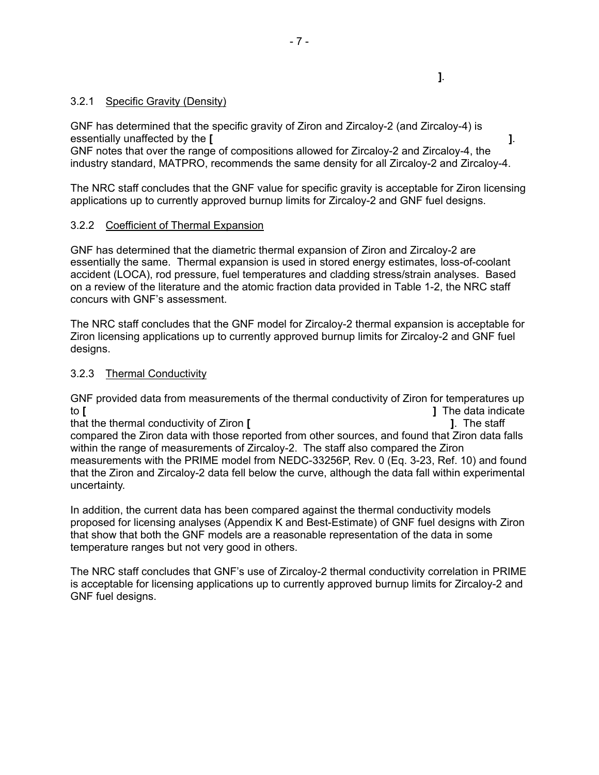# 3.2.1 Specific Gravity (Density)

GNF has determined that the specific gravity of Ziron and Zircaloy-2 (and Zircaloy-4) is essentially unaffected by the **[ ]**.

 **]**.

GNF notes that over the range of compositions allowed for Zircaloy-2 and Zircaloy-4, the industry standard, MATPRO, recommends the same density for all Zircaloy-2 and Zircaloy-4.

The NRC staff concludes that the GNF value for specific gravity is acceptable for Ziron licensing applications up to currently approved burnup limits for Zircaloy-2 and GNF fuel designs.

# 3.2.2 Coefficient of Thermal Expansion

GNF has determined that the diametric thermal expansion of Ziron and Zircaloy-2 are essentially the same. Thermal expansion is used in stored energy estimates, loss-of-coolant accident (LOCA), rod pressure, fuel temperatures and cladding stress/strain analyses. Based on a review of the literature and the atomic fraction data provided in Table 1-2, the NRC staff concurs with GNF's assessment.

The NRC staff concludes that the GNF model for Zircaloy-2 thermal expansion is acceptable for Ziron licensing applications up to currently approved burnup limits for Zircaloy-2 and GNF fuel designs.

# 3.2.3 Thermal Conductivity

GNF provided data from measurements of the thermal conductivity of Ziron for temperatures up to **[ ]** The data indicate that the thermal conductivity of Ziron **[ ]**. The staff compared the Ziron data with those reported from other sources, and found that Ziron data falls within the range of measurements of Zircaloy-2. The staff also compared the Ziron measurements with the PRIME model from NEDC-33256P, Rev. 0 (Eq. 3-23, Ref. 10) and found that the Ziron and Zircaloy-2 data fell below the curve, although the data fall within experimental uncertainty.

In addition, the current data has been compared against the thermal conductivity models proposed for licensing analyses (Appendix K and Best-Estimate) of GNF fuel designs with Ziron that show that both the GNF models are a reasonable representation of the data in some temperature ranges but not very good in others.

The NRC staff concludes that GNF's use of Zircaloy-2 thermal conductivity correlation in PRIME is acceptable for licensing applications up to currently approved burnup limits for Zircaloy-2 and GNF fuel designs.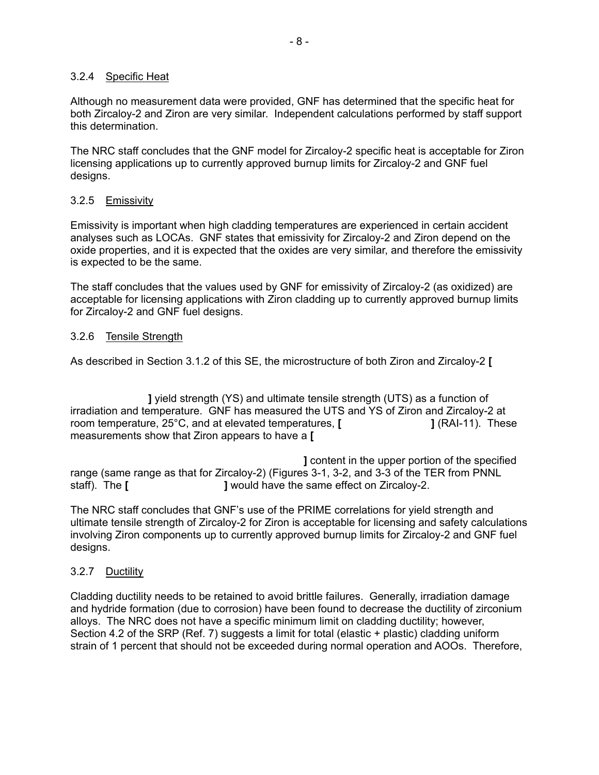# 3.2.4 Specific Heat

Although no measurement data were provided, GNF has determined that the specific heat for both Zircaloy-2 and Ziron are very similar. Independent calculations performed by staff support this determination.

The NRC staff concludes that the GNF model for Zircaloy-2 specific heat is acceptable for Ziron licensing applications up to currently approved burnup limits for Zircaloy-2 and GNF fuel designs.

# 3.2.5 Emissivity

Emissivity is important when high cladding temperatures are experienced in certain accident analyses such as LOCAs. GNF states that emissivity for Zircaloy-2 and Ziron depend on the oxide properties, and it is expected that the oxides are very similar, and therefore the emissivity is expected to be the same.

The staff concludes that the values used by GNF for emissivity of Zircaloy-2 (as oxidized) are acceptable for licensing applications with Ziron cladding up to currently approved burnup limits for Zircaloy-2 and GNF fuel designs.

# 3.2.6 Tensile Strength

As described in Section 3.1.2 of this SE, the microstructure of both Ziron and Zircaloy-2 **[** 

 **]** yield strength (YS) and ultimate tensile strength (UTS) as a function of irradiation and temperature. GNF has measured the UTS and YS of Ziron and Zircaloy-2 at room temperature, 25°C, and at elevated temperatures, **[ ]** (RAI-11). These measurements show that Ziron appears to have a **[** 

 **]** content in the upper portion of the specified range (same range as that for Zircaloy-2) (Figures 3-1, 3-2, and 3-3 of the TER from PNNL staff). The **[ l** would have the same effect on Zircaloy-2.

The NRC staff concludes that GNF's use of the PRIME correlations for yield strength and ultimate tensile strength of Zircaloy-2 for Ziron is acceptable for licensing and safety calculations involving Ziron components up to currently approved burnup limits for Zircaloy-2 and GNF fuel designs.

# 3.2.7 Ductility

Cladding ductility needs to be retained to avoid brittle failures. Generally, irradiation damage and hydride formation (due to corrosion) have been found to decrease the ductility of zirconium alloys. The NRC does not have a specific minimum limit on cladding ductility; however, Section 4.2 of the SRP (Ref. 7) suggests a limit for total (elastic + plastic) cladding uniform strain of 1 percent that should not be exceeded during normal operation and AOOs. Therefore,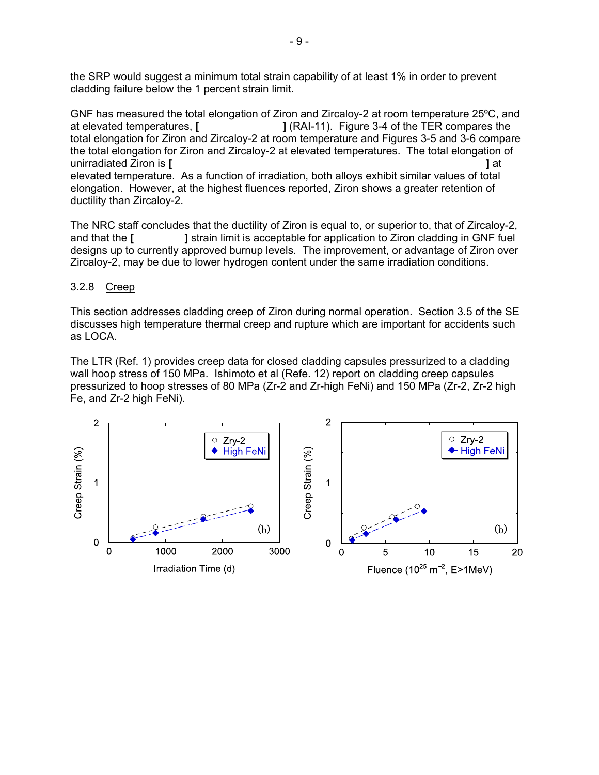the SRP would suggest a minimum total strain capability of at least 1% in order to prevent cladding failure below the 1 percent strain limit.

GNF has measured the total elongation of Ziron and Zircaloy-2 at room temperature 25ºC, and at elevated temperatures, **[ ]** (RAI-11). Figure 3-4 of the TER compares the total elongation for Ziron and Zircaloy-2 at room temperature and Figures 3-5 and 3-6 compare the total elongation for Ziron and Zircaloy-2 at elevated temperatures. The total elongation of unirradiated Ziron is **[ ]** at elevated temperature. As a function of irradiation, both alloys exhibit similar values of total elongation. However, at the highest fluences reported, Ziron shows a greater retention of ductility than Zircaloy-2.

The NRC staff concludes that the ductility of Ziron is equal to, or superior to, that of Zircaloy-2, and that the **[ ]** strain limit is acceptable for application to Ziron cladding in GNF fuel designs up to currently approved burnup levels. The improvement, or advantage of Ziron over Zircaloy-2, may be due to lower hydrogen content under the same irradiation conditions.

#### 3.2.8 Creep

This section addresses cladding creep of Ziron during normal operation. Section 3.5 of the SE discusses high temperature thermal creep and rupture which are important for accidents such as LOCA.

The LTR (Ref. 1) provides creep data for closed cladding capsules pressurized to a cladding wall hoop stress of 150 MPa. Ishimoto et al (Refe. 12) report on cladding creep capsules pressurized to hoop stresses of 80 MPa (Zr-2 and Zr-high FeNi) and 150 MPa (Zr-2, Zr-2 high Fe, and Zr-2 high FeNi).

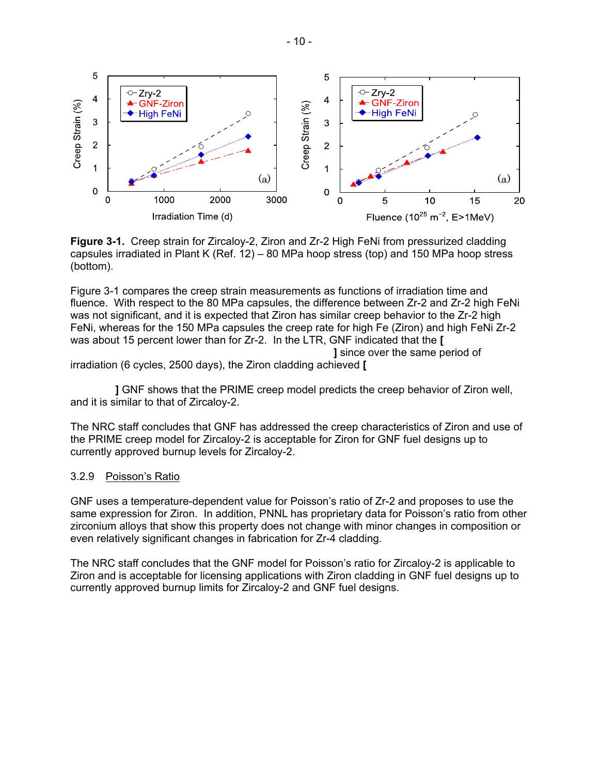

**Figure 3-1.** Creep strain for Zircaloy-2, Ziron and Zr-2 High FeNi from pressurized cladding capsules irradiated in Plant K (Ref. 12) – 80 MPa hoop stress (top) and 150 MPa hoop stress (bottom).

Figure 3-1 compares the creep strain measurements as functions of irradiation time and fluence. With respect to the 80 MPa capsules, the difference between Zr-2 and Zr-2 high FeNi was not significant, and it is expected that Ziron has similar creep behavior to the Zr-2 high FeNi, whereas for the 150 MPa capsules the creep rate for high Fe (Ziron) and high FeNi Zr-2 was about 15 percent lower than for Zr-2. In the LTR, GNF indicated that the **[** 

 **]** since over the same period of irradiation (6 cycles, 2500 days), the Ziron cladding achieved **[** 

 **]** GNF shows that the PRIME creep model predicts the creep behavior of Ziron well, and it is similar to that of Zircaloy-2.

The NRC staff concludes that GNF has addressed the creep characteristics of Ziron and use of the PRIME creep model for Zircaloy-2 is acceptable for Ziron for GNF fuel designs up to currently approved burnup levels for Zircaloy-2.

# 3.2.9 Poisson's Ratio

GNF uses a temperature-dependent value for Poisson's ratio of Zr-2 and proposes to use the same expression for Ziron. In addition, PNNL has proprietary data for Poisson's ratio from other zirconium alloys that show this property does not change with minor changes in composition or even relatively significant changes in fabrication for Zr-4 cladding.

The NRC staff concludes that the GNF model for Poisson's ratio for Zircaloy-2 is applicable to Ziron and is acceptable for licensing applications with Ziron cladding in GNF fuel designs up to currently approved burnup limits for Zircaloy-2 and GNF fuel designs.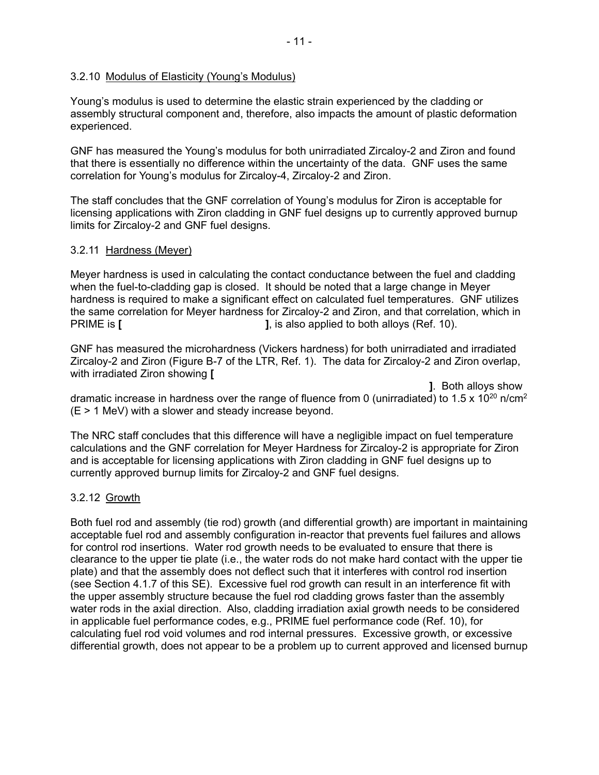#### 3.2.10 Modulus of Elasticity (Young's Modulus)

Young's modulus is used to determine the elastic strain experienced by the cladding or assembly structural component and, therefore, also impacts the amount of plastic deformation experienced.

GNF has measured the Young's modulus for both unirradiated Zircaloy-2 and Ziron and found that there is essentially no difference within the uncertainty of the data. GNF uses the same correlation for Young's modulus for Zircaloy-4, Zircaloy-2 and Ziron.

The staff concludes that the GNF correlation of Young's modulus for Ziron is acceptable for licensing applications with Ziron cladding in GNF fuel designs up to currently approved burnup limits for Zircaloy-2 and GNF fuel designs.

#### 3.2.11 Hardness (Meyer)

Meyer hardness is used in calculating the contact conductance between the fuel and cladding when the fuel-to-cladding gap is closed. It should be noted that a large change in Meyer hardness is required to make a significant effect on calculated fuel temperatures. GNF utilizes the same correlation for Meyer hardness for Zircaloy-2 and Ziron, and that correlation, which in **PRIME is [ ], is also applied to both alloys (Ref. 10).** 

GNF has measured the microhardness (Vickers hardness) for both unirradiated and irradiated Zircaloy-2 and Ziron (Figure B-7 of the LTR, Ref. 1). The data for Zircaloy-2 and Ziron overlap, with irradiated Ziron showing **[** 

 **]**. Both alloys show dramatic increase in hardness over the range of fluence from 0 (unirradiated) to 1.5 x 10<sup>20</sup> n/cm<sup>2</sup> (E > 1 MeV) with a slower and steady increase beyond.

The NRC staff concludes that this difference will have a negligible impact on fuel temperature calculations and the GNF correlation for Meyer Hardness for Zircaloy-2 is appropriate for Ziron and is acceptable for licensing applications with Ziron cladding in GNF fuel designs up to currently approved burnup limits for Zircaloy-2 and GNF fuel designs.

# 3.2.12 Growth

Both fuel rod and assembly (tie rod) growth (and differential growth) are important in maintaining acceptable fuel rod and assembly configuration in-reactor that prevents fuel failures and allows for control rod insertions. Water rod growth needs to be evaluated to ensure that there is clearance to the upper tie plate (i.e., the water rods do not make hard contact with the upper tie plate) and that the assembly does not deflect such that it interferes with control rod insertion (see Section 4.1.7 of this SE). Excessive fuel rod growth can result in an interference fit with the upper assembly structure because the fuel rod cladding grows faster than the assembly water rods in the axial direction. Also, cladding irradiation axial growth needs to be considered in applicable fuel performance codes, e.g., PRIME fuel performance code (Ref. 10), for calculating fuel rod void volumes and rod internal pressures. Excessive growth, or excessive differential growth, does not appear to be a problem up to current approved and licensed burnup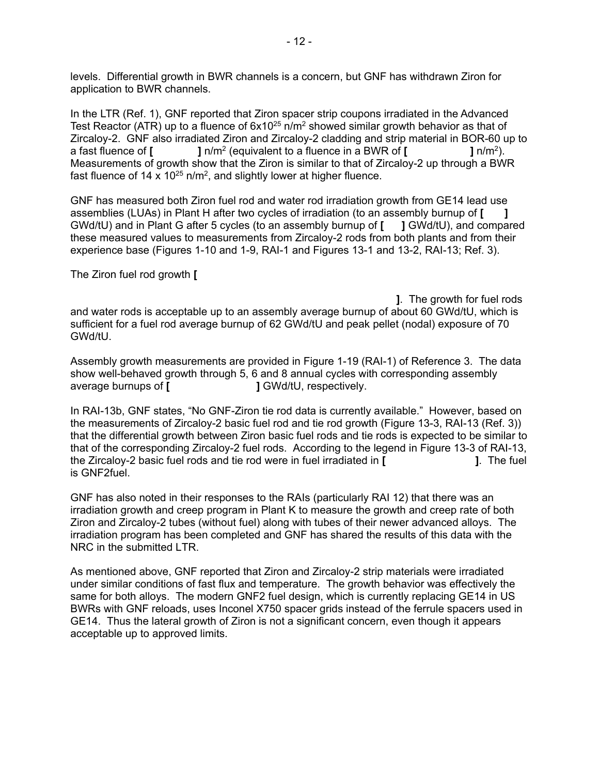levels. Differential growth in BWR channels is a concern, but GNF has withdrawn Ziron for application to BWR channels.

In the LTR (Ref. 1), GNF reported that Ziron spacer strip coupons irradiated in the Advanced Test Reactor (ATR) up to a fluence of  $6x10^{25}$  n/m<sup>2</sup> showed similar growth behavior as that of Zircaloy-2. GNF also irradiated Ziron and Zircaloy-2 cladding and strip material in BOR-60 up to a fast fluence of **[ ]** n/m<sup>2</sup> (equivalent to a fluence in a BWR of **[ ]** n/m<sup>2</sup>). Measurements of growth show that the Ziron is similar to that of Zircaloy-2 up through a BWR fast fluence of 14 x 10<sup>25</sup> n/m<sup>2</sup>, and slightly lower at higher fluence.

GNF has measured both Ziron fuel rod and water rod irradiation growth from GE14 lead use assemblies (LUAs) in Plant H after two cycles of irradiation (to an assembly burnup of **[ ]** GWd/tU) and in Plant G after 5 cycles (to an assembly burnup of **[ ]** GWd/tU), and compared these measured values to measurements from Zircaloy-2 rods from both plants and from their experience base (Figures 1-10 and 1-9, RAI-1 and Figures 13-1 and 13-2, RAI-13; Ref. 3).

The Ziron fuel rod growth **[** 

 **]**. The growth for fuel rods and water rods is acceptable up to an assembly average burnup of about 60 GWd/tU, which is sufficient for a fuel rod average burnup of 62 GWd/tU and peak pellet (nodal) exposure of 70 GWd/tU.

Assembly growth measurements are provided in Figure 1-19 (RAI-1) of Reference 3. The data show well-behaved growth through 5, 6 and 8 annual cycles with corresponding assembly average burnups of **[ ]** GWd/tU, respectively.

In RAI-13b, GNF states, "No GNF-Ziron tie rod data is currently available." However, based on the measurements of Zircaloy-2 basic fuel rod and tie rod growth (Figure 13-3, RAI-13 (Ref. 3)) that the differential growth between Ziron basic fuel rods and tie rods is expected to be similar to that of the corresponding Zircaloy-2 fuel rods. According to the legend in Figure 13-3 of RAI-13, the Zircaloy-2 basic fuel rods and tie rod were in fuel irradiated in **[ ]**. The fuel is GNF2fuel.

GNF has also noted in their responses to the RAIs (particularly RAI 12) that there was an irradiation growth and creep program in Plant K to measure the growth and creep rate of both Ziron and Zircaloy-2 tubes (without fuel) along with tubes of their newer advanced alloys. The irradiation program has been completed and GNF has shared the results of this data with the NRC in the submitted LTR.

As mentioned above, GNF reported that Ziron and Zircaloy-2 strip materials were irradiated under similar conditions of fast flux and temperature. The growth behavior was effectively the same for both alloys. The modern GNF2 fuel design, which is currently replacing GE14 in US BWRs with GNF reloads, uses Inconel X750 spacer grids instead of the ferrule spacers used in GE14. Thus the lateral growth of Ziron is not a significant concern, even though it appears acceptable up to approved limits.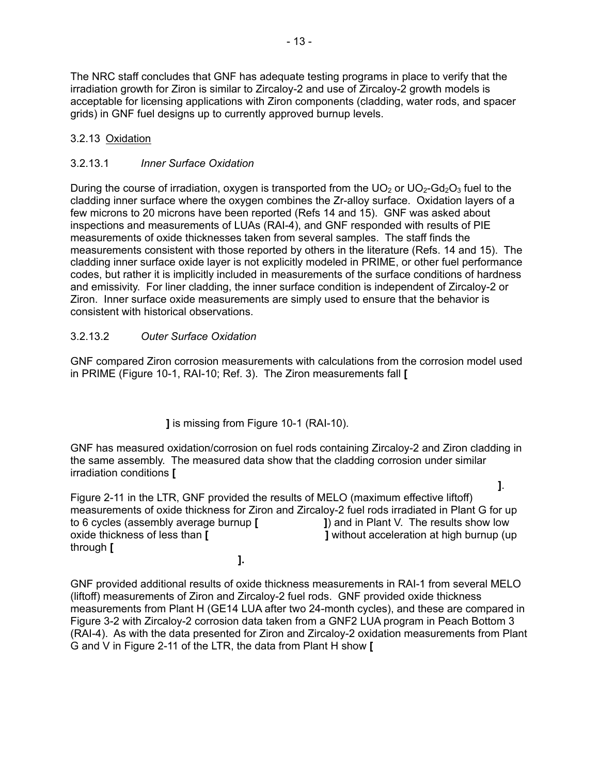The NRC staff concludes that GNF has adequate testing programs in place to verify that the irradiation growth for Ziron is similar to Zircaloy-2 and use of Zircaloy-2 growth models is acceptable for licensing applications with Ziron components (cladding, water rods, and spacer grids) in GNF fuel designs up to currently approved burnup levels.

# 3.2.13 Oxidation

# 3.2.13.1 *Inner Surface Oxidation*

During the course of irradiation, oxygen is transported from the  $UO<sub>2</sub>$  or  $UO<sub>2</sub>-Gd<sub>2</sub>O<sub>3</sub>$  fuel to the cladding inner surface where the oxygen combines the Zr-alloy surface. Oxidation layers of a few microns to 20 microns have been reported (Refs 14 and 15). GNF was asked about inspections and measurements of LUAs (RAI-4), and GNF responded with results of PIE measurements of oxide thicknesses taken from several samples. The staff finds the measurements consistent with those reported by others in the literature (Refs. 14 and 15). The cladding inner surface oxide layer is not explicitly modeled in PRIME, or other fuel performance codes, but rather it is implicitly included in measurements of the surface conditions of hardness and emissivity. For liner cladding, the inner surface condition is independent of Zircaloy-2 or Ziron. Inner surface oxide measurements are simply used to ensure that the behavior is consistent with historical observations.

# 3.2.13.2 *Outer Surface Oxidation*

GNF compared Ziron corrosion measurements with calculations from the corrosion model used in PRIME (Figure 10-1, RAI-10; Ref. 3). The Ziron measurements fall **[** 

 **]** is missing from Figure 10-1 (RAI-10).

GNF has measured oxidation/corrosion on fuel rods containing Zircaloy-2 and Ziron cladding in the same assembly. The measured data show that the cladding corrosion under similar irradiation conditions **[** 

 **]**. Figure 2-11 in the LTR, GNF provided the results of MELO (maximum effective liftoff) measurements of oxide thickness for Ziron and Zircaloy-2 fuel rods irradiated in Plant G for up to 6 cycles (assembly average burnup **[ ]**) and in Plant V. The results show low oxide thickness of less than **[ ]** without acceleration at high burnup (up through **[ ].**

GNF provided additional results of oxide thickness measurements in RAI-1 from several MELO (liftoff) measurements of Ziron and Zircaloy-2 fuel rods. GNF provided oxide thickness measurements from Plant H (GE14 LUA after two 24-month cycles), and these are compared in Figure 3-2 with Zircaloy-2 corrosion data taken from a GNF2 LUA program in Peach Bottom 3 (RAI-4). As with the data presented for Ziron and Zircaloy-2 oxidation measurements from Plant G and V in Figure 2-11 of the LTR, the data from Plant H show **[**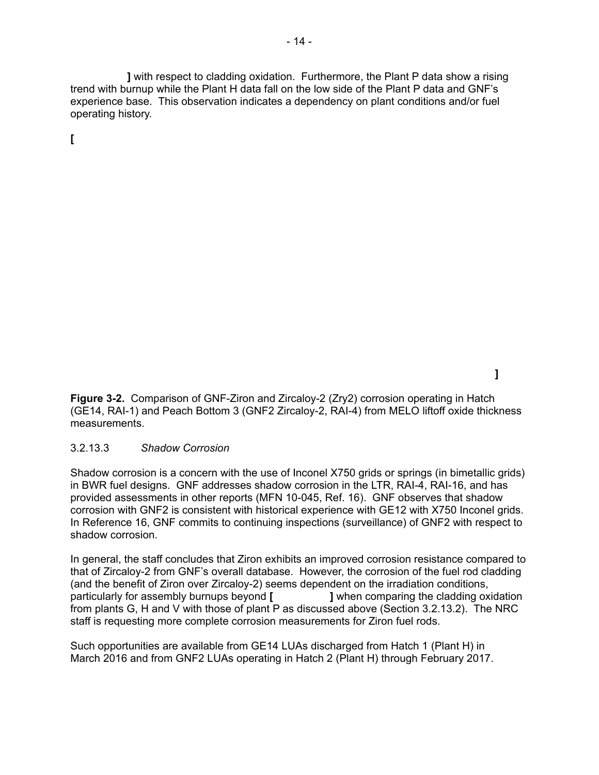**]** with respect to cladding oxidation. Furthermore, the Plant P data show a rising trend with burnup while the Plant H data fall on the low side of the Plant P data and GNF's experience base. This observation indicates a dependency on plant conditions and/or fuel operating history.

**[** 

 **]** 

**Figure 3-2.** Comparison of GNF-Ziron and Zircaloy-2 (Zry2) corrosion operating in Hatch (GE14, RAI-1) and Peach Bottom 3 (GNF2 Zircaloy-2, RAI-4) from MELO liftoff oxide thickness measurements.

#### 3.2.13.3 *Shadow Corrosion*

Shadow corrosion is a concern with the use of Inconel X750 grids or springs (in bimetallic grids) in BWR fuel designs. GNF addresses shadow corrosion in the LTR, RAI-4, RAI-16, and has provided assessments in other reports (MFN 10-045, Ref. 16). GNF observes that shadow corrosion with GNF2 is consistent with historical experience with GE12 with X750 Inconel grids. In Reference 16, GNF commits to continuing inspections (surveillance) of GNF2 with respect to shadow corrosion.

In general, the staff concludes that Ziron exhibits an improved corrosion resistance compared to that of Zircaloy-2 from GNF's overall database. However, the corrosion of the fuel rod cladding (and the benefit of Ziron over Zircaloy-2) seems dependent on the irradiation conditions, particularly for assembly burnups beyond **[ ]** when comparing the cladding oxidation from plants G, H and V with those of plant P as discussed above (Section 3.2.13.2). The NRC staff is requesting more complete corrosion measurements for Ziron fuel rods.

Such opportunities are available from GE14 LUAs discharged from Hatch 1 (Plant H) in March 2016 and from GNF2 LUAs operating in Hatch 2 (Plant H) through February 2017.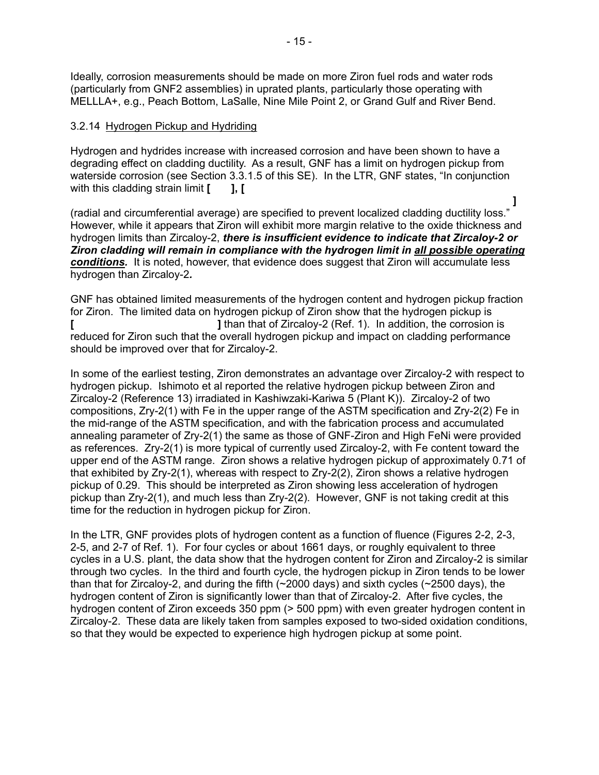Ideally, corrosion measurements should be made on more Ziron fuel rods and water rods (particularly from GNF2 assemblies) in uprated plants, particularly those operating with MELLLA+, e.g., Peach Bottom, LaSalle, Nine Mile Point 2, or Grand Gulf and River Bend.

#### 3.2.14 Hydrogen Pickup and Hydriding

Hydrogen and hydrides increase with increased corrosion and have been shown to have a degrading effect on cladding ductility. As a result, GNF has a limit on hydrogen pickup from waterside corrosion (see Section 3.3.1.5 of this SE). In the LTR, GNF states, "In conjunction with this cladding strain limit [ **]**, [

 **]**

(radial and circumferential average) are specified to prevent localized cladding ductility loss." However, while it appears that Ziron will exhibit more margin relative to the oxide thickness and hydrogen limits than Zircaloy-2, *there is insufficient evidence to indicate that Zircaloy-2 or Ziron cladding will remain in compliance with the hydrogen limit in all possible operating conditions.* It is noted, however, that evidence does suggest that Ziron will accumulate less hydrogen than Zircaloy-2*.*

GNF has obtained limited measurements of the hydrogen content and hydrogen pickup fraction for Ziron. The limited data on hydrogen pickup of Ziron show that the hydrogen pickup is **[ ]** than that of Zircaloy-2 (Ref. 1). In addition, the corrosion is reduced for Ziron such that the overall hydrogen pickup and impact on cladding performance should be improved over that for Zircaloy-2.

In some of the earliest testing, Ziron demonstrates an advantage over Zircaloy-2 with respect to hydrogen pickup. Ishimoto et al reported the relative hydrogen pickup between Ziron and Zircaloy-2 (Reference 13) irradiated in Kashiwzaki-Kariwa 5 (Plant K)). Zircaloy-2 of two compositions, Zry-2(1) with Fe in the upper range of the ASTM specification and Zry-2(2) Fe in the mid-range of the ASTM specification, and with the fabrication process and accumulated annealing parameter of Zry-2(1) the same as those of GNF-Ziron and High FeNi were provided as references. Zry-2(1) is more typical of currently used Zircaloy-2, with Fe content toward the upper end of the ASTM range. Ziron shows a relative hydrogen pickup of approximately 0.71 of that exhibited by Zry-2(1), whereas with respect to Zry-2(2), Ziron shows a relative hydrogen pickup of 0.29. This should be interpreted as Ziron showing less acceleration of hydrogen pickup than Zry-2(1), and much less than Zry-2(2). However, GNF is not taking credit at this time for the reduction in hydrogen pickup for Ziron.

In the LTR, GNF provides plots of hydrogen content as a function of fluence (Figures 2-2, 2-3, 2-5, and 2-7 of Ref. 1). For four cycles or about 1661 days, or roughly equivalent to three cycles in a U.S. plant, the data show that the hydrogen content for Ziron and Zircaloy-2 is similar through two cycles. In the third and fourth cycle, the hydrogen pickup in Ziron tends to be lower than that for Zircaloy-2, and during the fifth (~2000 days) and sixth cycles (~2500 days), the hydrogen content of Ziron is significantly lower than that of Zircaloy-2. After five cycles, the hydrogen content of Ziron exceeds 350 ppm (> 500 ppm) with even greater hydrogen content in Zircaloy-2. These data are likely taken from samples exposed to two-sided oxidation conditions, so that they would be expected to experience high hydrogen pickup at some point.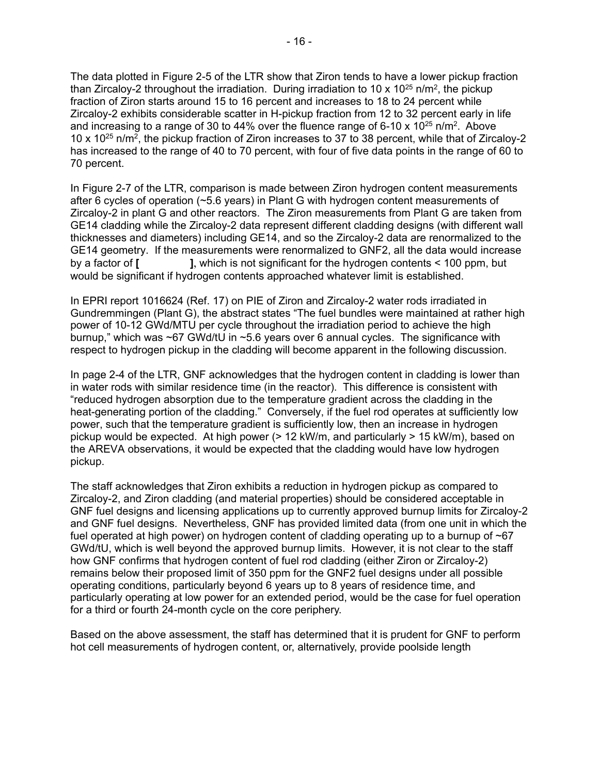The data plotted in Figure 2-5 of the LTR show that Ziron tends to have a lower pickup fraction than Zircaloy-2 throughout the irradiation. During irradiation to 10 x  $10^{25}$  n/m<sup>2</sup>, the pickup fraction of Ziron starts around 15 to 16 percent and increases to 18 to 24 percent while Zircaloy-2 exhibits considerable scatter in H-pickup fraction from 12 to 32 percent early in life and increasing to a range of 30 to 44% over the fluence range of 6-10 x  $10^{25}$  n/m<sup>2</sup>. Above 10 x 1025 n/m2, the pickup fraction of Ziron increases to 37 to 38 percent, while that of Zircaloy-2 has increased to the range of 40 to 70 percent, with four of five data points in the range of 60 to 70 percent.

In Figure 2-7 of the LTR, comparison is made between Ziron hydrogen content measurements after 6 cycles of operation (~5.6 years) in Plant G with hydrogen content measurements of Zircaloy-2 in plant G and other reactors. The Ziron measurements from Plant G are taken from GE14 cladding while the Zircaloy-2 data represent different cladding designs (with different wall thicknesses and diameters) including GE14, and so the Zircaloy-2 data are renormalized to the GE14 geometry. If the measurements were renormalized to GNF2, all the data would increase by a factor of **[ ]**, which is not significant for the hydrogen contents < 100 ppm, but would be significant if hydrogen contents approached whatever limit is established.

In EPRI report 1016624 (Ref. 17) on PIE of Ziron and Zircaloy-2 water rods irradiated in Gundremmingen (Plant G), the abstract states "The fuel bundles were maintained at rather high power of 10-12 GWd/MTU per cycle throughout the irradiation period to achieve the high burnup," which was ~67 GWd/tU in ~5.6 years over 6 annual cycles. The significance with respect to hydrogen pickup in the cladding will become apparent in the following discussion.

In page 2-4 of the LTR, GNF acknowledges that the hydrogen content in cladding is lower than in water rods with similar residence time (in the reactor). This difference is consistent with "reduced hydrogen absorption due to the temperature gradient across the cladding in the heat-generating portion of the cladding." Conversely, if the fuel rod operates at sufficiently low power, such that the temperature gradient is sufficiently low, then an increase in hydrogen pickup would be expected. At high power (> 12 kW/m, and particularly > 15 kW/m), based on the AREVA observations, it would be expected that the cladding would have low hydrogen pickup.

The staff acknowledges that Ziron exhibits a reduction in hydrogen pickup as compared to Zircaloy-2, and Ziron cladding (and material properties) should be considered acceptable in GNF fuel designs and licensing applications up to currently approved burnup limits for Zircaloy-2 and GNF fuel designs. Nevertheless, GNF has provided limited data (from one unit in which the fuel operated at high power) on hydrogen content of cladding operating up to a burnup of  $\sim 67$ GWd/tU, which is well beyond the approved burnup limits. However, it is not clear to the staff how GNF confirms that hydrogen content of fuel rod cladding (either Ziron or Zircaloy-2) remains below their proposed limit of 350 ppm for the GNF2 fuel designs under all possible operating conditions, particularly beyond 6 years up to 8 years of residence time, and particularly operating at low power for an extended period, would be the case for fuel operation for a third or fourth 24-month cycle on the core periphery.

Based on the above assessment, the staff has determined that it is prudent for GNF to perform hot cell measurements of hydrogen content, or, alternatively, provide poolside length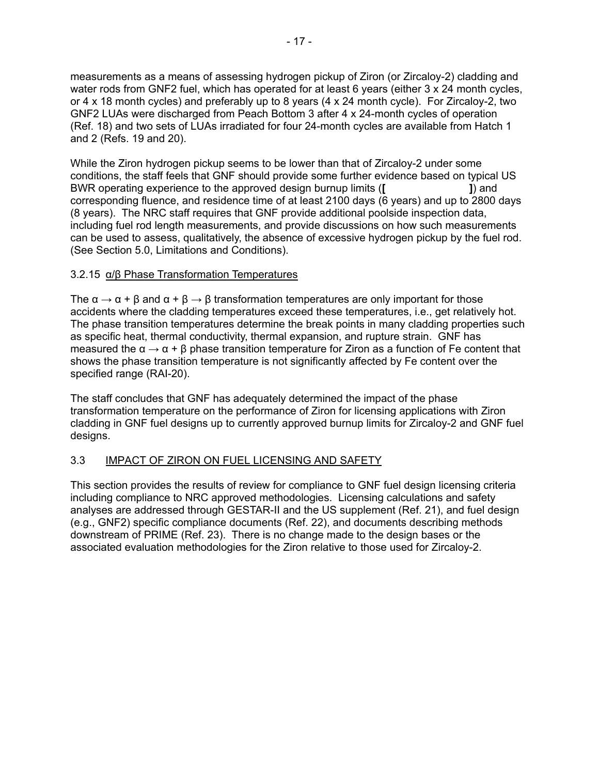measurements as a means of assessing hydrogen pickup of Ziron (or Zircaloy-2) cladding and water rods from GNF2 fuel, which has operated for at least 6 years (either 3 x 24 month cycles, or 4 x 18 month cycles) and preferably up to 8 years (4 x 24 month cycle). For Zircaloy-2, two GNF2 LUAs were discharged from Peach Bottom 3 after 4 x 24-month cycles of operation (Ref. 18) and two sets of LUAs irradiated for four 24-month cycles are available from Hatch 1 and 2 (Refs. 19 and 20).

While the Ziron hydrogen pickup seems to be lower than that of Zircaloy-2 under some conditions, the staff feels that GNF should provide some further evidence based on typical US BWR operating experience to the approved design burnup limits (**[ ]**) and corresponding fluence, and residence time of at least 2100 days (6 years) and up to 2800 days (8 years). The NRC staff requires that GNF provide additional poolside inspection data, including fuel rod length measurements, and provide discussions on how such measurements can be used to assess, qualitatively, the absence of excessive hydrogen pickup by the fuel rod. (See Section 5.0, Limitations and Conditions).

# 3.2.15 α/β Phase Transformation Temperatures

The  $\alpha \to \alpha + \beta$  and  $\alpha + \beta \to \beta$  transformation temperatures are only important for those accidents where the cladding temperatures exceed these temperatures, i.e., get relatively hot. The phase transition temperatures determine the break points in many cladding properties such as specific heat, thermal conductivity, thermal expansion, and rupture strain. GNF has measured the  $\alpha \to \alpha + \beta$  phase transition temperature for Ziron as a function of Fe content that shows the phase transition temperature is not significantly affected by Fe content over the specified range (RAI-20).

The staff concludes that GNF has adequately determined the impact of the phase transformation temperature on the performance of Ziron for licensing applications with Ziron cladding in GNF fuel designs up to currently approved burnup limits for Zircaloy-2 and GNF fuel designs.

# 3.3 IMPACT OF ZIRON ON FUEL LICENSING AND SAFETY

This section provides the results of review for compliance to GNF fuel design licensing criteria including compliance to NRC approved methodologies. Licensing calculations and safety analyses are addressed through GESTAR-II and the US supplement (Ref. 21), and fuel design (e.g., GNF2) specific compliance documents (Ref. 22), and documents describing methods downstream of PRIME (Ref. 23). There is no change made to the design bases or the associated evaluation methodologies for the Ziron relative to those used for Zircaloy-2.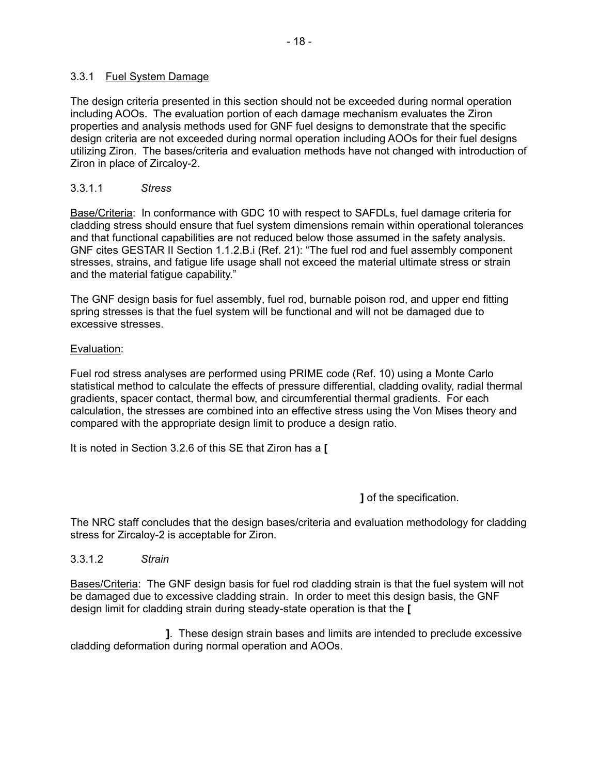### 3.3.1 Fuel System Damage

The design criteria presented in this section should not be exceeded during normal operation including AOOs. The evaluation portion of each damage mechanism evaluates the Ziron properties and analysis methods used for GNF fuel designs to demonstrate that the specific design criteria are not exceeded during normal operation including AOOs for their fuel designs utilizing Ziron. The bases/criteria and evaluation methods have not changed with introduction of Ziron in place of Zircaloy-2.

# 3.3.1.1 *Stress*

Base/Criteria: In conformance with GDC 10 with respect to SAFDLs, fuel damage criteria for cladding stress should ensure that fuel system dimensions remain within operational tolerances and that functional capabilities are not reduced below those assumed in the safety analysis. GNF cites GESTAR II Section 1.1.2.B.i (Ref. 21): "The fuel rod and fuel assembly component stresses, strains, and fatigue life usage shall not exceed the material ultimate stress or strain and the material fatigue capability."

The GNF design basis for fuel assembly, fuel rod, burnable poison rod, and upper end fitting spring stresses is that the fuel system will be functional and will not be damaged due to excessive stresses.

#### Evaluation:

Fuel rod stress analyses are performed using PRIME code (Ref. 10) using a Monte Carlo statistical method to calculate the effects of pressure differential, cladding ovality, radial thermal gradients, spacer contact, thermal bow, and circumferential thermal gradients. For each calculation, the stresses are combined into an effective stress using the Von Mises theory and compared with the appropriate design limit to produce a design ratio.

It is noted in Section 3.2.6 of this SE that Ziron has a **[** 

 **]** of the specification.

The NRC staff concludes that the design bases/criteria and evaluation methodology for cladding stress for Zircaloy-2 is acceptable for Ziron.

3.3.1.2 *Strain* 

Bases/Criteria: The GNF design basis for fuel rod cladding strain is that the fuel system will not be damaged due to excessive cladding strain. In order to meet this design basis, the GNF design limit for cladding strain during steady-state operation is that the **[** 

 **]**. These design strain bases and limits are intended to preclude excessive cladding deformation during normal operation and AOOs.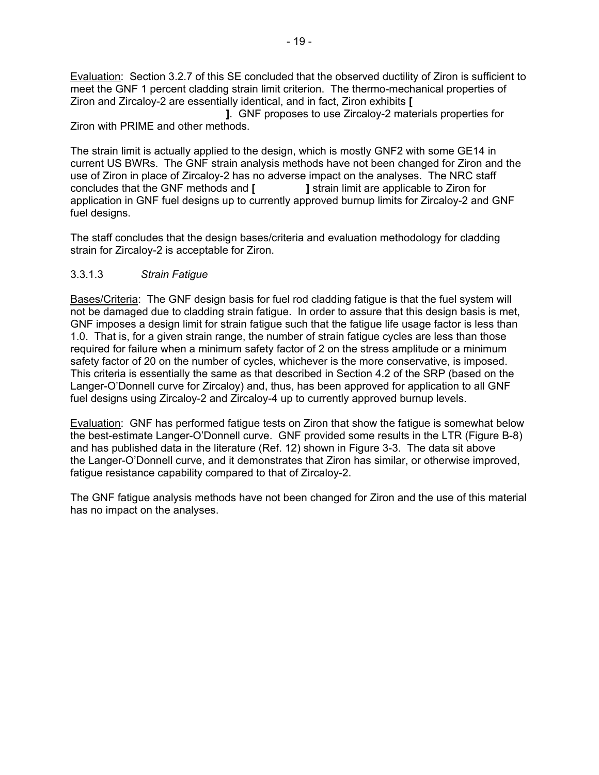Evaluation: Section 3.2.7 of this SE concluded that the observed ductility of Ziron is sufficient to meet the GNF 1 percent cladding strain limit criterion. The thermo-mechanical properties of Ziron and Zircaloy-2 are essentially identical, and in fact, Ziron exhibits **[** 

 **]**. GNF proposes to use Zircaloy-2 materials properties for Ziron with PRIME and other methods.

The strain limit is actually applied to the design, which is mostly GNF2 with some GE14 in current US BWRs. The GNF strain analysis methods have not been changed for Ziron and the use of Ziron in place of Zircaloy-2 has no adverse impact on the analyses. The NRC staff concludes that the GNF methods and **[ ]** strain limit are applicable to Ziron for application in GNF fuel designs up to currently approved burnup limits for Zircaloy-2 and GNF fuel designs.

The staff concludes that the design bases/criteria and evaluation methodology for cladding strain for Zircaloy-2 is acceptable for Ziron.

# 3.3.1.3 *Strain Fatigue*

Bases/Criteria: The GNF design basis for fuel rod cladding fatigue is that the fuel system will not be damaged due to cladding strain fatigue. In order to assure that this design basis is met, GNF imposes a design limit for strain fatigue such that the fatigue life usage factor is less than 1.0. That is, for a given strain range, the number of strain fatigue cycles are less than those required for failure when a minimum safety factor of 2 on the stress amplitude or a minimum safety factor of 20 on the number of cycles, whichever is the more conservative, is imposed. This criteria is essentially the same as that described in Section 4.2 of the SRP (based on the Langer-O'Donnell curve for Zircaloy) and, thus, has been approved for application to all GNF fuel designs using Zircaloy-2 and Zircaloy-4 up to currently approved burnup levels.

Evaluation: GNF has performed fatigue tests on Ziron that show the fatigue is somewhat below the best-estimate Langer-O'Donnell curve. GNF provided some results in the LTR (Figure B-8) and has published data in the literature (Ref. 12) shown in Figure 3-3. The data sit above the Langer-O'Donnell curve, and it demonstrates that Ziron has similar, or otherwise improved, fatigue resistance capability compared to that of Zircaloy-2.

The GNF fatigue analysis methods have not been changed for Ziron and the use of this material has no impact on the analyses.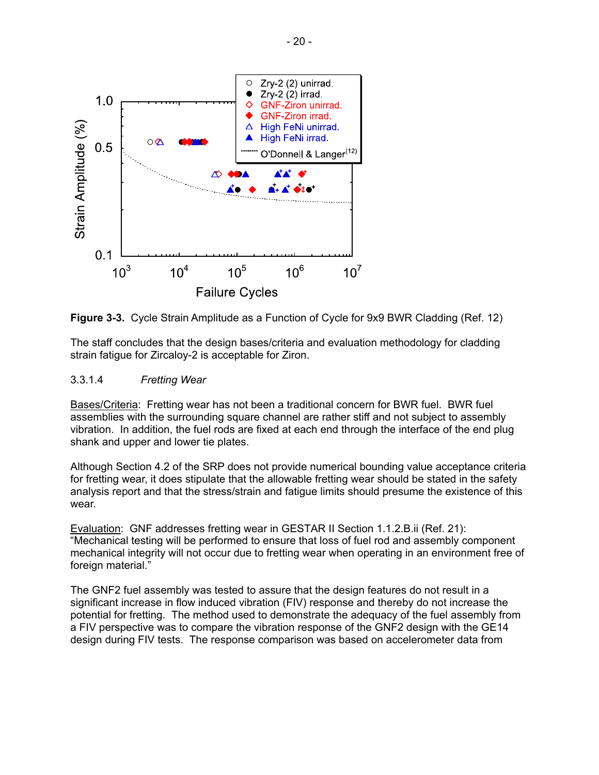

**Figure 3-3.** Cycle Strain Amplitude as a Function of Cycle for 9x9 BWR Cladding (Ref. 12)

The staff concludes that the design bases/criteria and evaluation methodology for cladding strain fatigue for Zircaloy-2 is acceptable for Ziron.

#### 3.3.1.4 *Fretting Wear*

Bases/Criteria: Fretting wear has not been a traditional concern for BWR fuel. BWR fuel assemblies with the surrounding square channel are rather stiff and not subject to assembly vibration. In addition, the fuel rods are fixed at each end through the interface of the end plug shank and upper and lower tie plates.

Although Section 4.2 of the SRP does not provide numerical bounding value acceptance criteria for fretting wear, it does stipulate that the allowable fretting wear should be stated in the safety analysis report and that the stress/strain and fatigue limits should presume the existence of this wear.

Evaluation: GNF addresses fretting wear in GESTAR II Section 1.1.2.B.ii (Ref. 21): "Mechanical testing will be performed to ensure that loss of fuel rod and assembly component mechanical integrity will not occur due to fretting wear when operating in an environment free of foreign material."

The GNF2 fuel assembly was tested to assure that the design features do not result in a significant increase in flow induced vibration (FIV) response and thereby do not increase the potential for fretting. The method used to demonstrate the adequacy of the fuel assembly from a FIV perspective was to compare the vibration response of the GNF2 design with the GE14 design during FIV tests. The response comparison was based on accelerometer data from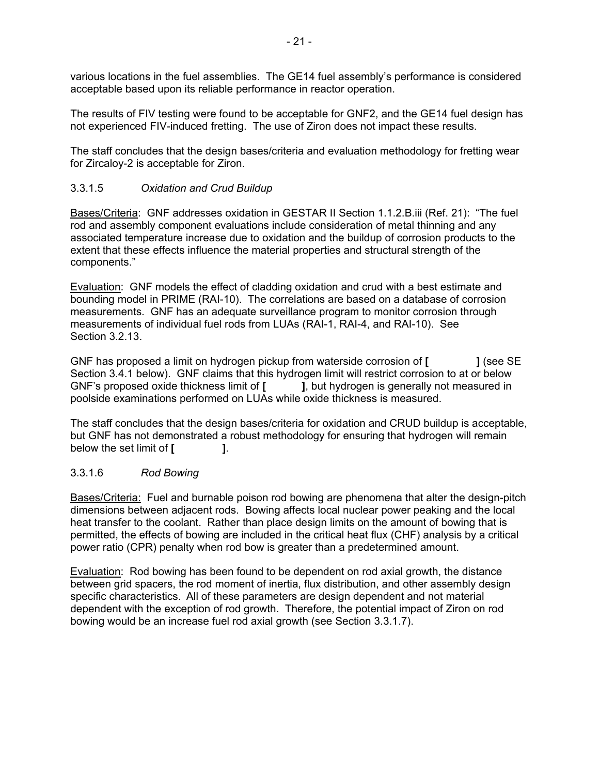various locations in the fuel assemblies. The GE14 fuel assembly's performance is considered acceptable based upon its reliable performance in reactor operation.

The results of FIV testing were found to be acceptable for GNF2, and the GE14 fuel design has not experienced FIV-induced fretting. The use of Ziron does not impact these results.

The staff concludes that the design bases/criteria and evaluation methodology for fretting wear for Zircaloy-2 is acceptable for Ziron.

# 3.3.1.5 *Oxidation and Crud Buildup*

Bases/Criteria: GNF addresses oxidation in GESTAR II Section 1.1.2.B.iii (Ref. 21): "The fuel rod and assembly component evaluations include consideration of metal thinning and any associated temperature increase due to oxidation and the buildup of corrosion products to the extent that these effects influence the material properties and structural strength of the components."

Evaluation: GNF models the effect of cladding oxidation and crud with a best estimate and bounding model in PRIME (RAI-10). The correlations are based on a database of corrosion measurements. GNF has an adequate surveillance program to monitor corrosion through measurements of individual fuel rods from LUAs (RAI-1, RAI-4, and RAI-10). See Section 3.2.13.

GNF has proposed a limit on hydrogen pickup from waterside corrosion of **[ ]** (see SE Section 3.4.1 below). GNF claims that this hydrogen limit will restrict corrosion to at or below GNF's proposed oxide thickness limit of **[ ]**, but hydrogen is generally not measured in poolside examinations performed on LUAs while oxide thickness is measured.

The staff concludes that the design bases/criteria for oxidation and CRUD buildup is acceptable, but GNF has not demonstrated a robust methodology for ensuring that hydrogen will remain below the set limit of **[ ]**.

# 3.3.1.6 *Rod Bowing*

Bases/Criteria: Fuel and burnable poison rod bowing are phenomena that alter the design-pitch dimensions between adjacent rods. Bowing affects local nuclear power peaking and the local heat transfer to the coolant. Rather than place design limits on the amount of bowing that is permitted, the effects of bowing are included in the critical heat flux (CHF) analysis by a critical power ratio (CPR) penalty when rod bow is greater than a predetermined amount.

Evaluation: Rod bowing has been found to be dependent on rod axial growth, the distance between grid spacers, the rod moment of inertia, flux distribution, and other assembly design specific characteristics. All of these parameters are design dependent and not material dependent with the exception of rod growth. Therefore, the potential impact of Ziron on rod bowing would be an increase fuel rod axial growth (see Section 3.3.1.7).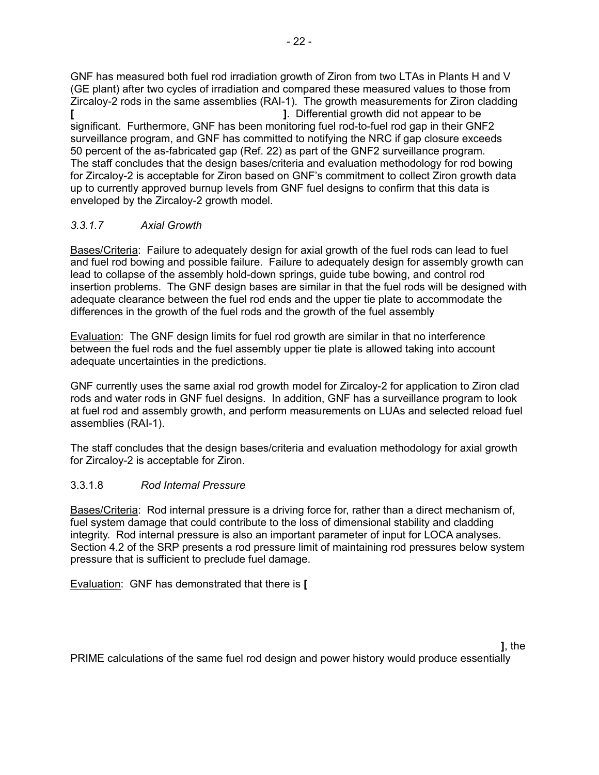GNF has measured both fuel rod irradiation growth of Ziron from two LTAs in Plants H and V (GE plant) after two cycles of irradiation and compared these measured values to those from Zircaloy-2 rods in the same assemblies (RAI-1). The growth measurements for Ziron cladding **[ ]**. Differential growth did not appear to be significant. Furthermore, GNF has been monitoring fuel rod-to-fuel rod gap in their GNF2 surveillance program, and GNF has committed to notifying the NRC if gap closure exceeds 50 percent of the as-fabricated gap (Ref. 22) as part of the GNF2 surveillance program. The staff concludes that the design bases/criteria and evaluation methodology for rod bowing for Zircaloy-2 is acceptable for Ziron based on GNF's commitment to collect Ziron growth data up to currently approved burnup levels from GNF fuel designs to confirm that this data is enveloped by the Zircaloy-2 growth model.

# *3.3.1.7 Axial Growth*

Bases/Criteria: Failure to adequately design for axial growth of the fuel rods can lead to fuel and fuel rod bowing and possible failure. Failure to adequately design for assembly growth can lead to collapse of the assembly hold-down springs, guide tube bowing, and control rod insertion problems. The GNF design bases are similar in that the fuel rods will be designed with adequate clearance between the fuel rod ends and the upper tie plate to accommodate the differences in the growth of the fuel rods and the growth of the fuel assembly

Evaluation: The GNF design limits for fuel rod growth are similar in that no interference between the fuel rods and the fuel assembly upper tie plate is allowed taking into account adequate uncertainties in the predictions.

GNF currently uses the same axial rod growth model for Zircaloy-2 for application to Ziron clad rods and water rods in GNF fuel designs. In addition, GNF has a surveillance program to look at fuel rod and assembly growth, and perform measurements on LUAs and selected reload fuel assemblies (RAI-1).

The staff concludes that the design bases/criteria and evaluation methodology for axial growth for Zircaloy-2 is acceptable for Ziron.

# 3.3.1.8 *Rod Internal Pressure*

Bases/Criteria: Rod internal pressure is a driving force for, rather than a direct mechanism of, fuel system damage that could contribute to the loss of dimensional stability and cladding integrity. Rod internal pressure is also an important parameter of input for LOCA analyses. Section 4.2 of the SRP presents a rod pressure limit of maintaining rod pressures below system pressure that is sufficient to preclude fuel damage.

Evaluation: GNF has demonstrated that there is **[** 

PRIME calculations of the same fuel rod design and power history would produce essentially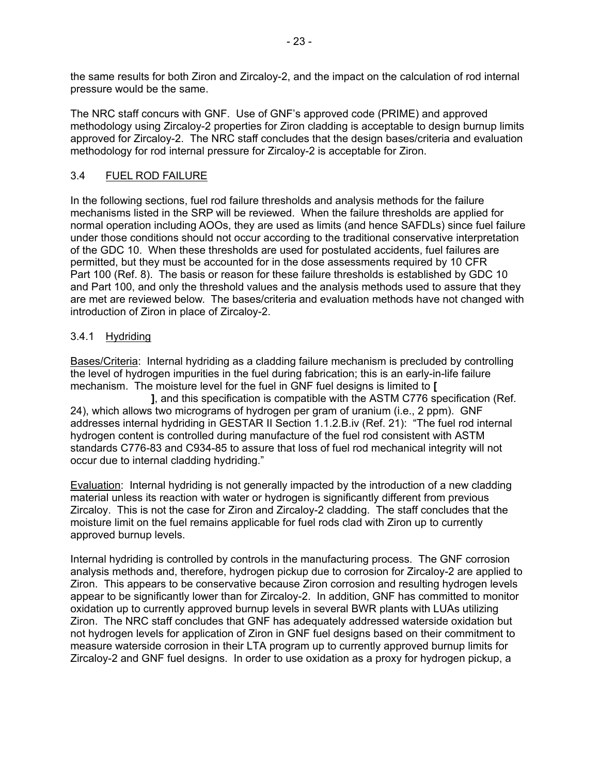the same results for both Ziron and Zircaloy-2, and the impact on the calculation of rod internal pressure would be the same.

The NRC staff concurs with GNF. Use of GNF's approved code (PRIME) and approved methodology using Zircaloy-2 properties for Ziron cladding is acceptable to design burnup limits approved for Zircaloy-2. The NRC staff concludes that the design bases/criteria and evaluation methodology for rod internal pressure for Zircaloy-2 is acceptable for Ziron.

# 3.4 FUEL ROD FAILURE

In the following sections, fuel rod failure thresholds and analysis methods for the failure mechanisms listed in the SRP will be reviewed. When the failure thresholds are applied for normal operation including AOOs, they are used as limits (and hence SAFDLs) since fuel failure under those conditions should not occur according to the traditional conservative interpretation of the GDC 10. When these thresholds are used for postulated accidents, fuel failures are permitted, but they must be accounted for in the dose assessments required by 10 CFR Part 100 (Ref. 8). The basis or reason for these failure thresholds is established by GDC 10 and Part 100, and only the threshold values and the analysis methods used to assure that they are met are reviewed below. The bases/criteria and evaluation methods have not changed with introduction of Ziron in place of Zircaloy-2.

# 3.4.1 Hydriding

Bases/Criteria: Internal hydriding as a cladding failure mechanism is precluded by controlling the level of hydrogen impurities in the fuel during fabrication; this is an early-in-life failure mechanism. The moisture level for the fuel in GNF fuel designs is limited to **[** 

 **]**, and this specification is compatible with the ASTM C776 specification (Ref. 24), which allows two micrograms of hydrogen per gram of uranium (i.e., 2 ppm). GNF addresses internal hydriding in GESTAR II Section 1.1.2.B.iv (Ref. 21): "The fuel rod internal hydrogen content is controlled during manufacture of the fuel rod consistent with ASTM standards C776-83 and C934-85 to assure that loss of fuel rod mechanical integrity will not occur due to internal cladding hydriding."

Evaluation: Internal hydriding is not generally impacted by the introduction of a new cladding material unless its reaction with water or hydrogen is significantly different from previous Zircaloy. This is not the case for Ziron and Zircaloy-2 cladding. The staff concludes that the moisture limit on the fuel remains applicable for fuel rods clad with Ziron up to currently approved burnup levels.

Internal hydriding is controlled by controls in the manufacturing process. The GNF corrosion analysis methods and, therefore, hydrogen pickup due to corrosion for Zircaloy-2 are applied to Ziron. This appears to be conservative because Ziron corrosion and resulting hydrogen levels appear to be significantly lower than for Zircaloy-2. In addition, GNF has committed to monitor oxidation up to currently approved burnup levels in several BWR plants with LUAs utilizing Ziron. The NRC staff concludes that GNF has adequately addressed waterside oxidation but not hydrogen levels for application of Ziron in GNF fuel designs based on their commitment to measure waterside corrosion in their LTA program up to currently approved burnup limits for Zircaloy-2 and GNF fuel designs. In order to use oxidation as a proxy for hydrogen pickup, a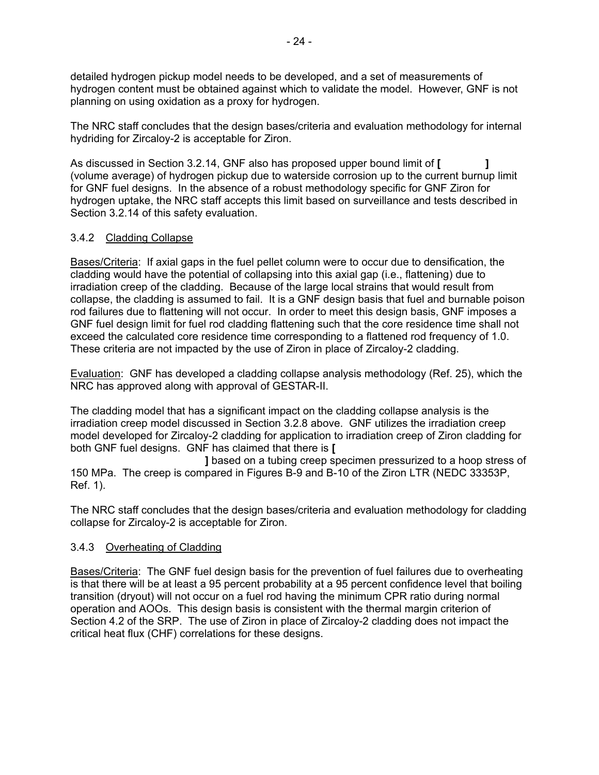detailed hydrogen pickup model needs to be developed, and a set of measurements of hydrogen content must be obtained against which to validate the model. However, GNF is not planning on using oxidation as a proxy for hydrogen.

The NRC staff concludes that the design bases/criteria and evaluation methodology for internal hydriding for Zircaloy-2 is acceptable for Ziron.

As discussed in Section 3.2.14, GNF also has proposed upper bound limit of **[ ]** (volume average) of hydrogen pickup due to waterside corrosion up to the current burnup limit for GNF fuel designs. In the absence of a robust methodology specific for GNF Ziron for hydrogen uptake, the NRC staff accepts this limit based on surveillance and tests described in Section 3.2.14 of this safety evaluation.

# 3.4.2 Cladding Collapse

Bases/Criteria: If axial gaps in the fuel pellet column were to occur due to densification, the cladding would have the potential of collapsing into this axial gap (i.e., flattening) due to irradiation creep of the cladding. Because of the large local strains that would result from collapse, the cladding is assumed to fail. It is a GNF design basis that fuel and burnable poison rod failures due to flattening will not occur. In order to meet this design basis, GNF imposes a GNF fuel design limit for fuel rod cladding flattening such that the core residence time shall not exceed the calculated core residence time corresponding to a flattened rod frequency of 1.0. These criteria are not impacted by the use of Ziron in place of Zircaloy-2 cladding.

Evaluation: GNF has developed a cladding collapse analysis methodology (Ref. 25), which the NRC has approved along with approval of GESTAR-II.

The cladding model that has a significant impact on the cladding collapse analysis is the irradiation creep model discussed in Section 3.2.8 above. GNF utilizes the irradiation creep model developed for Zircaloy-2 cladding for application to irradiation creep of Ziron cladding for both GNF fuel designs. GNF has claimed that there is **[** 

 **]** based on a tubing creep specimen pressurized to a hoop stress of 150 MPa. The creep is compared in Figures B-9 and B-10 of the Ziron LTR (NEDC 33353P, Ref. 1).

The NRC staff concludes that the design bases/criteria and evaluation methodology for cladding collapse for Zircaloy-2 is acceptable for Ziron.

# 3.4.3 Overheating of Cladding

Bases/Criteria: The GNF fuel design basis for the prevention of fuel failures due to overheating is that there will be at least a 95 percent probability at a 95 percent confidence level that boiling transition (dryout) will not occur on a fuel rod having the minimum CPR ratio during normal operation and AOOs. This design basis is consistent with the thermal margin criterion of Section 4.2 of the SRP. The use of Ziron in place of Zircaloy-2 cladding does not impact the critical heat flux (CHF) correlations for these designs.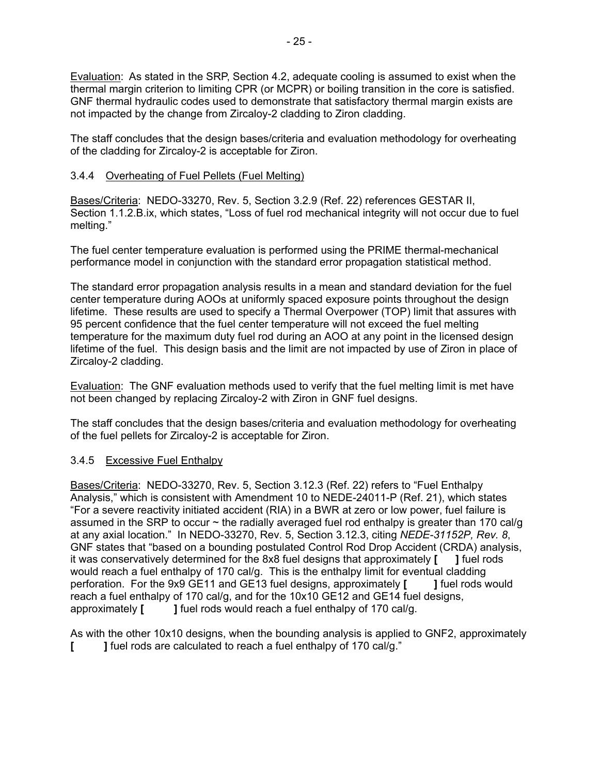Evaluation: As stated in the SRP, Section 4.2, adequate cooling is assumed to exist when the thermal margin criterion to limiting CPR (or MCPR) or boiling transition in the core is satisfied. GNF thermal hydraulic codes used to demonstrate that satisfactory thermal margin exists are not impacted by the change from Zircaloy-2 cladding to Ziron cladding.

The staff concludes that the design bases/criteria and evaluation methodology for overheating of the cladding for Zircaloy-2 is acceptable for Ziron.

# 3.4.4 Overheating of Fuel Pellets (Fuel Melting)

Bases/Criteria: NEDO-33270, Rev. 5, Section 3.2.9 (Ref. 22) references GESTAR II, Section 1.1.2.B.ix, which states, "Loss of fuel rod mechanical integrity will not occur due to fuel melting."

The fuel center temperature evaluation is performed using the PRIME thermal-mechanical performance model in conjunction with the standard error propagation statistical method.

The standard error propagation analysis results in a mean and standard deviation for the fuel center temperature during AOOs at uniformly spaced exposure points throughout the design lifetime. These results are used to specify a Thermal Overpower (TOP) limit that assures with 95 percent confidence that the fuel center temperature will not exceed the fuel melting temperature for the maximum duty fuel rod during an AOO at any point in the licensed design lifetime of the fuel. This design basis and the limit are not impacted by use of Ziron in place of Zircaloy-2 cladding.

Evaluation: The GNF evaluation methods used to verify that the fuel melting limit is met have not been changed by replacing Zircaloy-2 with Ziron in GNF fuel designs.

The staff concludes that the design bases/criteria and evaluation methodology for overheating of the fuel pellets for Zircaloy-2 is acceptable for Ziron.

# 3.4.5 Excessive Fuel Enthalpy

Bases/Criteria: NEDO-33270, Rev. 5, Section 3.12.3 (Ref. 22) refers to "Fuel Enthalpy Analysis," which is consistent with Amendment 10 to NEDE-24011-P (Ref. 21), which states "For a severe reactivity initiated accident (RIA) in a BWR at zero or low power, fuel failure is assumed in the SRP to occur  $\sim$  the radially averaged fuel rod enthalpy is greater than 170 cal/g at any axial location." In NEDO-33270, Rev. 5, Section 3.12.3, citing *NEDE-31152P, Rev. 8*, GNF states that "based on a bounding postulated Control Rod Drop Accident (CRDA) analysis, it was conservatively determined for the 8x8 fuel designs that approximately **[ ]** fuel rods would reach a fuel enthalpy of 170 cal/g. This is the enthalpy limit for eventual cladding perforation. For the 9x9 GE11 and GE13 fuel designs, approximately **[ ]** fuel rods would reach a fuel enthalpy of 170 cal/g, and for the 10x10 GE12 and GE14 fuel designs, approximately **[ ]** fuel rods would reach a fuel enthalpy of 170 cal/g.

As with the other 10x10 designs, when the bounding analysis is applied to GNF2, approximately **[ ]** fuel rods are calculated to reach a fuel enthalpy of 170 cal/g."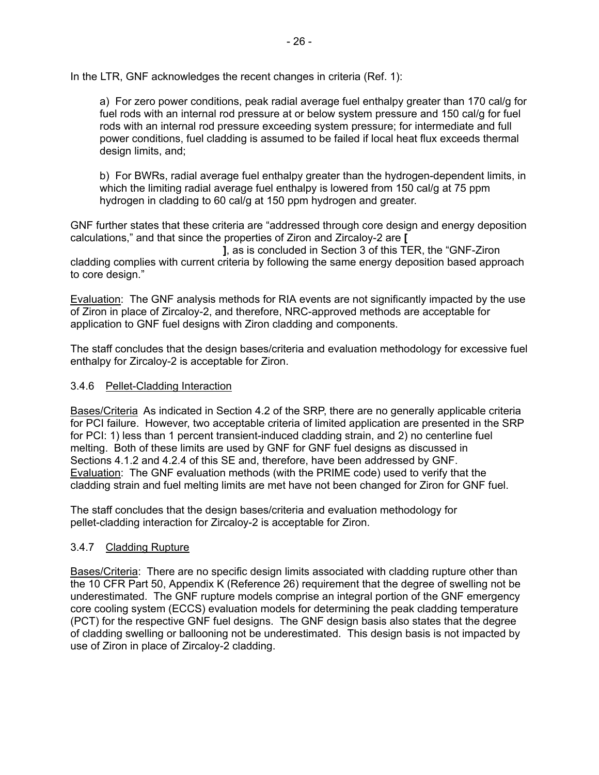In the LTR, GNF acknowledges the recent changes in criteria (Ref. 1):

a) For zero power conditions, peak radial average fuel enthalpy greater than 170 cal/g for fuel rods with an internal rod pressure at or below system pressure and 150 cal/g for fuel rods with an internal rod pressure exceeding system pressure; for intermediate and full power conditions, fuel cladding is assumed to be failed if local heat flux exceeds thermal design limits, and;

b) For BWRs, radial average fuel enthalpy greater than the hydrogen-dependent limits, in which the limiting radial average fuel enthalpy is lowered from 150 cal/g at 75 ppm hydrogen in cladding to 60 cal/g at 150 ppm hydrogen and greater.

GNF further states that these criteria are "addressed through core design and energy deposition calculations," and that since the properties of Ziron and Zircaloy-2 are **[** 

 **]**, as is concluded in Section 3 of this TER, the "GNF-Ziron cladding complies with current criteria by following the same energy deposition based approach to core design."

Evaluation: The GNF analysis methods for RIA events are not significantly impacted by the use of Ziron in place of Zircaloy-2, and therefore, NRC-approved methods are acceptable for application to GNF fuel designs with Ziron cladding and components.

The staff concludes that the design bases/criteria and evaluation methodology for excessive fuel enthalpy for Zircaloy-2 is acceptable for Ziron.

#### 3.4.6 Pellet-Cladding Interaction

Bases/Criteria As indicated in Section 4.2 of the SRP, there are no generally applicable criteria for PCI failure. However, two acceptable criteria of limited application are presented in the SRP for PCI: 1) less than 1 percent transient-induced cladding strain, and 2) no centerline fuel melting. Both of these limits are used by GNF for GNF fuel designs as discussed in Sections 4.1.2 and 4.2.4 of this SE and, therefore, have been addressed by GNF. Evaluation: The GNF evaluation methods (with the PRIME code) used to verify that the cladding strain and fuel melting limits are met have not been changed for Ziron for GNF fuel.

The staff concludes that the design bases/criteria and evaluation methodology for pellet-cladding interaction for Zircaloy-2 is acceptable for Ziron.

# 3.4.7 Cladding Rupture

Bases/Criteria: There are no specific design limits associated with cladding rupture other than the 10 CFR Part 50, Appendix K (Reference 26) requirement that the degree of swelling not be underestimated. The GNF rupture models comprise an integral portion of the GNF emergency core cooling system (ECCS) evaluation models for determining the peak cladding temperature (PCT) for the respective GNF fuel designs. The GNF design basis also states that the degree of cladding swelling or ballooning not be underestimated. This design basis is not impacted by use of Ziron in place of Zircaloy-2 cladding.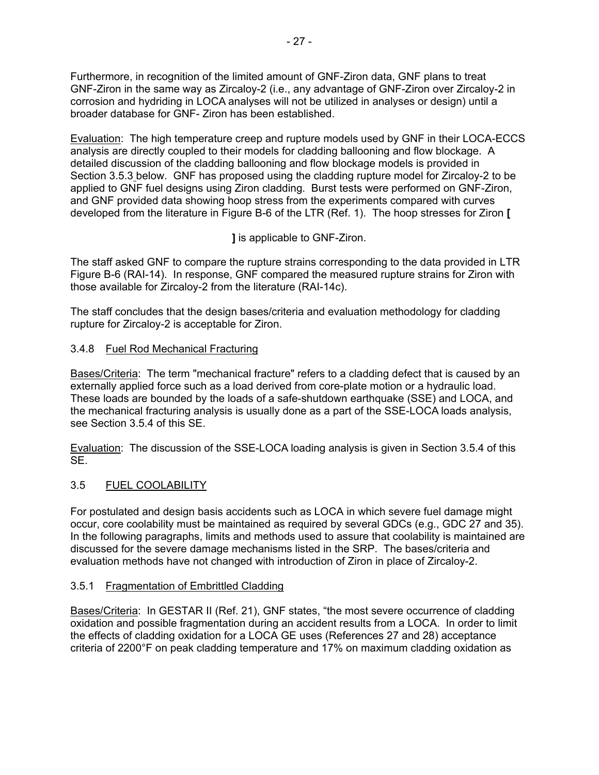Furthermore, in recognition of the limited amount of GNF-Ziron data, GNF plans to treat GNF-Ziron in the same way as Zircaloy-2 (i.e., any advantage of GNF-Ziron over Zircaloy-2 in corrosion and hydriding in LOCA analyses will not be utilized in analyses or design) until a broader database for GNF- Ziron has been established.

Evaluation: The high temperature creep and rupture models used by GNF in their LOCA-ECCS analysis are directly coupled to their models for cladding ballooning and flow blockage. A detailed discussion of the cladding ballooning and flow blockage models is provided in Section 3.5.3 below. GNF has proposed using the cladding rupture model for Zircaloy-2 to be applied to GNF fuel designs using Ziron cladding. Burst tests were performed on GNF-Ziron, and GNF provided data showing hoop stress from the experiments compared with curves developed from the literature in Figure B-6 of the LTR (Ref. 1). The hoop stresses for Ziron **[** 

# **]** is applicable to GNF-Ziron.

The staff asked GNF to compare the rupture strains corresponding to the data provided in LTR Figure B-6 (RAI-14). In response, GNF compared the measured rupture strains for Ziron with those available for Zircaloy-2 from the literature (RAI-14c).

The staff concludes that the design bases/criteria and evaluation methodology for cladding rupture for Zircaloy-2 is acceptable for Ziron.

# 3.4.8 Fuel Rod Mechanical Fracturing

Bases/Criteria: The term "mechanical fracture" refers to a cladding defect that is caused by an externally applied force such as a load derived from core-plate motion or a hydraulic load. These loads are bounded by the loads of a safe-shutdown earthquake (SSE) and LOCA, and the mechanical fracturing analysis is usually done as a part of the SSE-LOCA loads analysis, see Section 3.5.4 of this SE.

Evaluation: The discussion of the SSE-LOCA loading analysis is given in Section 3.5.4 of this SE.

# 3.5 FUEL COOLABILITY

For postulated and design basis accidents such as LOCA in which severe fuel damage might occur, core coolability must be maintained as required by several GDCs (e.g., GDC 27 and 35). In the following paragraphs, limits and methods used to assure that coolability is maintained are discussed for the severe damage mechanisms listed in the SRP. The bases/criteria and evaluation methods have not changed with introduction of Ziron in place of Zircaloy-2.

# 3.5.1 Fragmentation of Embrittled Cladding

Bases/Criteria: In GESTAR II (Ref. 21), GNF states, "the most severe occurrence of cladding oxidation and possible fragmentation during an accident results from a LOCA. In order to limit the effects of cladding oxidation for a LOCA GE uses (References 27 and 28) acceptance criteria of 2200°F on peak cladding temperature and 17% on maximum cladding oxidation as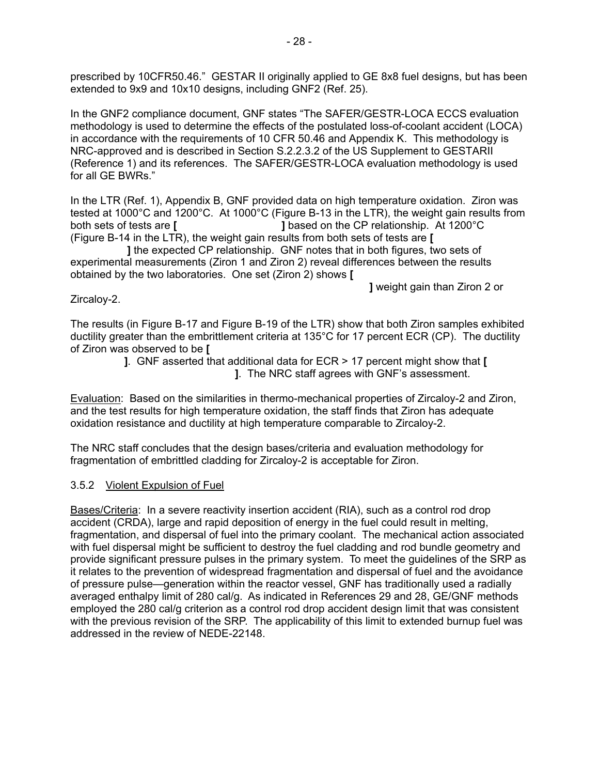prescribed by 10CFR50.46." GESTAR II originally applied to GE 8x8 fuel designs, but has been extended to 9x9 and 10x10 designs, including GNF2 (Ref. 25).

In the GNF2 compliance document, GNF states "The SAFER/GESTR-LOCA ECCS evaluation methodology is used to determine the effects of the postulated loss-of-coolant accident (LOCA) in accordance with the requirements of 10 CFR 50.46 and Appendix K. This methodology is NRC-approved and is described in Section S.2.2.3.2 of the US Supplement to GESTARII (Reference 1) and its references. The SAFER/GESTR-LOCA evaluation methodology is used for all GE BWRs."

In the LTR (Ref. 1), Appendix B, GNF provided data on high temperature oxidation. Ziron was tested at 1000°C and 1200°C. At 1000°C (Figure B-13 in the LTR), the weight gain results from both sets of tests are **[ ]** based on the CP relationship. At 1200°C (Figure B-14 in the LTR), the weight gain results from both sets of tests are **[** 

 **]** the expected CP relationship. GNF notes that in both figures, two sets of experimental measurements (Ziron 1 and Ziron 2) reveal differences between the results obtained by the two laboratories. One set (Ziron 2) shows **[** 

 **]** weight gain than Ziron 2 or

#### Zircaloy-2.

The results (in Figure B-17 and Figure B-19 of the LTR) show that both Ziron samples exhibited ductility greater than the embrittlement criteria at 135°C for 17 percent ECR (CP). The ductility of Ziron was observed to be **[** 

 **]**. GNF asserted that additional data for ECR > 17 percent might show that **[ ]**. The NRC staff agrees with GNF's assessment.

Evaluation: Based on the similarities in thermo-mechanical properties of Zircaloy-2 and Ziron, and the test results for high temperature oxidation, the staff finds that Ziron has adequate oxidation resistance and ductility at high temperature comparable to Zircaloy-2.

The NRC staff concludes that the design bases/criteria and evaluation methodology for fragmentation of embrittled cladding for Zircaloy-2 is acceptable for Ziron.

#### 3.5.2 Violent Expulsion of Fuel

Bases/Criteria: In a severe reactivity insertion accident (RIA), such as a control rod drop accident (CRDA), large and rapid deposition of energy in the fuel could result in melting, fragmentation, and dispersal of fuel into the primary coolant. The mechanical action associated with fuel dispersal might be sufficient to destroy the fuel cladding and rod bundle geometry and provide significant pressure pulses in the primary system. To meet the guidelines of the SRP as it relates to the prevention of widespread fragmentation and dispersal of fuel and the avoidance of pressure pulse—generation within the reactor vessel, GNF has traditionally used a radially averaged enthalpy limit of 280 cal/g. As indicated in References 29 and 28, GE/GNF methods employed the 280 cal/g criterion as a control rod drop accident design limit that was consistent with the previous revision of the SRP. The applicability of this limit to extended burnup fuel was addressed in the review of NEDE-22148.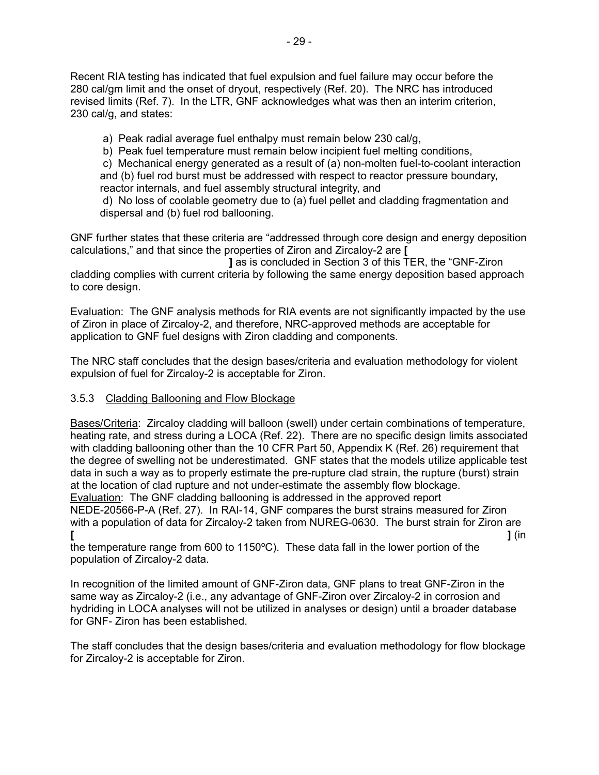Recent RIA testing has indicated that fuel expulsion and fuel failure may occur before the 280 cal/gm limit and the onset of dryout, respectively (Ref. 20). The NRC has introduced revised limits (Ref. 7). In the LTR, GNF acknowledges what was then an interim criterion, 230 cal/g, and states:

a) Peak radial average fuel enthalpy must remain below 230 cal/g,

b) Peak fuel temperature must remain below incipient fuel melting conditions,

 c) Mechanical energy generated as a result of (a) non-molten fuel-to-coolant interaction and (b) fuel rod burst must be addressed with respect to reactor pressure boundary, reactor internals, and fuel assembly structural integrity, and

 d) No loss of coolable geometry due to (a) fuel pellet and cladding fragmentation and dispersal and (b) fuel rod ballooning.

GNF further states that these criteria are "addressed through core design and energy deposition calculations," and that since the properties of Ziron and Zircaloy-2 are **[** 

 **]** as is concluded in Section 3 of this TER, the "GNF-Ziron cladding complies with current criteria by following the same energy deposition based approach to core design.

Evaluation: The GNF analysis methods for RIA events are not significantly impacted by the use of Ziron in place of Zircaloy-2, and therefore, NRC-approved methods are acceptable for application to GNF fuel designs with Ziron cladding and components.

The NRC staff concludes that the design bases/criteria and evaluation methodology for violent expulsion of fuel for Zircaloy-2 is acceptable for Ziron.

# 3.5.3 Cladding Ballooning and Flow Blockage

Bases/Criteria: Zircaloy cladding will balloon (swell) under certain combinations of temperature, heating rate, and stress during a LOCA (Ref. 22). There are no specific design limits associated with cladding ballooning other than the 10 CFR Part 50, Appendix K (Ref. 26) requirement that the degree of swelling not be underestimated. GNF states that the models utilize applicable test data in such a way as to properly estimate the pre-rupture clad strain, the rupture (burst) strain at the location of clad rupture and not under-estimate the assembly flow blockage. Evaluation: The GNF cladding ballooning is addressed in the approved report

NEDE-20566-P-A (Ref. 27). In RAI-14, GNF compares the burst strains measured for Ziron with a population of data for Zircaloy-2 taken from NUREG-0630. The burst strain for Ziron are **[ ]** (in

the temperature range from 600 to 1150ºC). These data fall in the lower portion of the population of Zircaloy-2 data.

In recognition of the limited amount of GNF-Ziron data, GNF plans to treat GNF-Ziron in the same way as Zircaloy-2 (i.e., any advantage of GNF-Ziron over Zircaloy-2 in corrosion and hydriding in LOCA analyses will not be utilized in analyses or design) until a broader database for GNF- Ziron has been established.

The staff concludes that the design bases/criteria and evaluation methodology for flow blockage for Zircaloy-2 is acceptable for Ziron.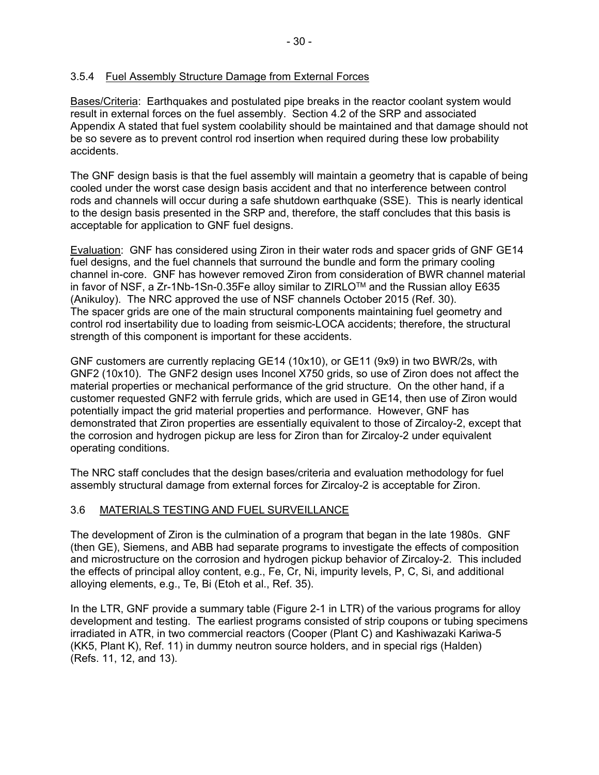# 3.5.4 Fuel Assembly Structure Damage from External Forces

Bases/Criteria: Earthquakes and postulated pipe breaks in the reactor coolant system would result in external forces on the fuel assembly. Section 4.2 of the SRP and associated Appendix A stated that fuel system coolability should be maintained and that damage should not be so severe as to prevent control rod insertion when required during these low probability accidents.

The GNF design basis is that the fuel assembly will maintain a geometry that is capable of being cooled under the worst case design basis accident and that no interference between control rods and channels will occur during a safe shutdown earthquake (SSE). This is nearly identical to the design basis presented in the SRP and, therefore, the staff concludes that this basis is acceptable for application to GNF fuel designs.

Evaluation: GNF has considered using Ziron in their water rods and spacer grids of GNF GE14 fuel designs, and the fuel channels that surround the bundle and form the primary cooling channel in-core. GNF has however removed Ziron from consideration of BWR channel material in favor of NSF, a Zr-1Nb-1Sn-0.35Fe alloy similar to ZIRLO<sup>TM</sup> and the Russian alloy E635 (Anikuloy). The NRC approved the use of NSF channels October 2015 (Ref. 30). The spacer grids are one of the main structural components maintaining fuel geometry and control rod insertability due to loading from seismic-LOCA accidents; therefore, the structural strength of this component is important for these accidents.

GNF customers are currently replacing GE14 (10x10), or GE11 (9x9) in two BWR/2s, with GNF2 (10x10). The GNF2 design uses Inconel X750 grids, so use of Ziron does not affect the material properties or mechanical performance of the grid structure. On the other hand, if a customer requested GNF2 with ferrule grids, which are used in GE14, then use of Ziron would potentially impact the grid material properties and performance. However, GNF has demonstrated that Ziron properties are essentially equivalent to those of Zircaloy-2, except that the corrosion and hydrogen pickup are less for Ziron than for Zircaloy-2 under equivalent operating conditions.

The NRC staff concludes that the design bases/criteria and evaluation methodology for fuel assembly structural damage from external forces for Zircaloy-2 is acceptable for Ziron.

# 3.6 MATERIALS TESTING AND FUEL SURVEILLANCE

The development of Ziron is the culmination of a program that began in the late 1980s. GNF (then GE), Siemens, and ABB had separate programs to investigate the effects of composition and microstructure on the corrosion and hydrogen pickup behavior of Zircaloy-2. This included the effects of principal alloy content, e.g., Fe, Cr, Ni, impurity levels, P, C, Si, and additional alloying elements, e.g., Te, Bi (Etoh et al., Ref. 35).

In the LTR, GNF provide a summary table (Figure 2-1 in LTR) of the various programs for alloy development and testing. The earliest programs consisted of strip coupons or tubing specimens irradiated in ATR, in two commercial reactors (Cooper (Plant C) and Kashiwazaki Kariwa-5 (KK5, Plant K), Ref. 11) in dummy neutron source holders, and in special rigs (Halden) (Refs. 11, 12, and 13).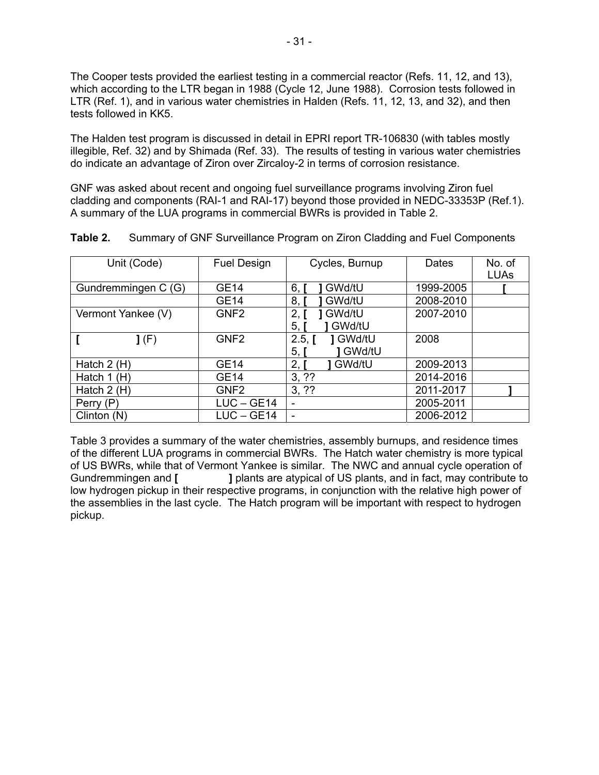The Cooper tests provided the earliest testing in a commercial reactor (Refs. 11, 12, and 13), which according to the LTR began in 1988 (Cycle 12, June 1988). Corrosion tests followed in LTR (Ref. 1), and in various water chemistries in Halden (Refs. 11, 12, 13, and 32), and then tests followed in KK5.

The Halden test program is discussed in detail in EPRI report TR-106830 (with tables mostly illegible, Ref. 32) and by Shimada (Ref. 33). The results of testing in various water chemistries do indicate an advantage of Ziron over Zircaloy-2 in terms of corrosion resistance.

GNF was asked about recent and ongoing fuel surveillance programs involving Ziron fuel cladding and components (RAI-1 and RAI-17) beyond those provided in NEDC-33353P (Ref.1). A summary of the LUA programs in commercial BWRs is provided in Table 2.

| Unit (Code)         | <b>Fuel Design</b> | Cycles, Burnup                            | Dates     | No. of<br><b>LUAs</b> |
|---------------------|--------------------|-------------------------------------------|-----------|-----------------------|
| Gundremmingen C (G) | <b>GE14</b>        | GWd/tU<br>6                               | 1999-2005 |                       |
|                     | GE14               | 8<br>GWd/tU                               | 2008-2010 |                       |
| Vermont Yankee (V)  | GNF <sub>2</sub>   | GWd/tU<br>2.<br>GWd/tU<br>5,              | 2007-2010 |                       |
| J(F)                | GNF <sub>2</sub>   | 1 GWd/tU<br>$2.5, \Gamma$<br>GWd/tU<br>5, | 2008      |                       |
| Hatch $2(H)$        | GE14               | 2,1<br>GWd/tU                             | 2009-2013 |                       |
| Hatch $1(H)$        | <b>GE14</b>        | 3, ??                                     | 2014-2016 |                       |
| Hatch $2(H)$        | GNF <sub>2</sub>   | 3, ??                                     | 2011-2017 |                       |
| Perry (P)           | $LUC - GE14$       | $\overline{\phantom{a}}$                  | 2005-2011 |                       |
| Clinton $(N)$       | $LUC - GE14$       | $\overline{\phantom{0}}$                  | 2006-2012 |                       |

| Table 2. |  |  | Summary of GNF Surveillance Program on Ziron Cladding and Fuel Components |  |
|----------|--|--|---------------------------------------------------------------------------|--|
|----------|--|--|---------------------------------------------------------------------------|--|

Table 3 provides a summary of the water chemistries, assembly burnups, and residence times of the different LUA programs in commercial BWRs. The Hatch water chemistry is more typical of US BWRs, while that of Vermont Yankee is similar. The NWC and annual cycle operation of Gundremmingen and **[ ]** plants are atypical of US plants, and in fact, may contribute to low hydrogen pickup in their respective programs, in conjunction with the relative high power of the assemblies in the last cycle. The Hatch program will be important with respect to hydrogen pickup.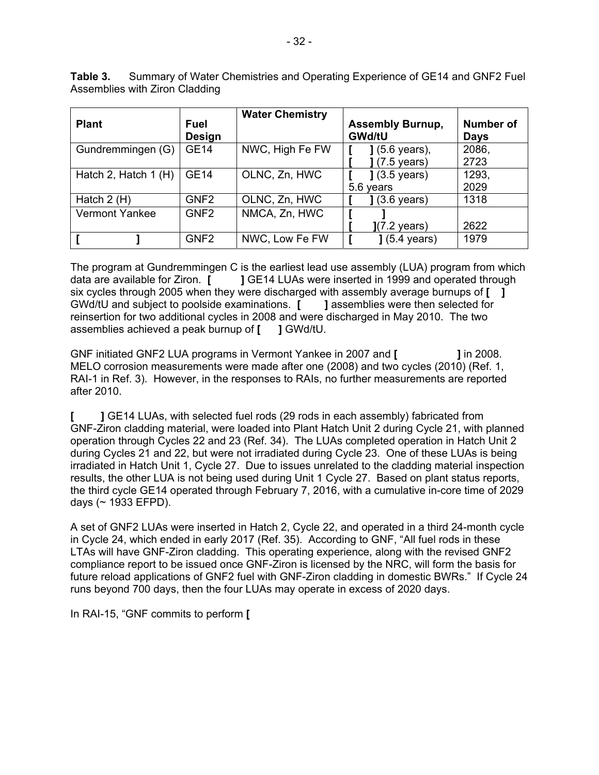| <b>Plant</b>          | Fuel<br><b>Design</b> | <b>Water Chemistry</b> | <b>Assembly Burnup,</b><br><b>GWd/tU</b> | <b>Number of</b><br><b>Days</b> |
|-----------------------|-----------------------|------------------------|------------------------------------------|---------------------------------|
| Gundremmingen (G)     | <b>GE14</b>           | NWC, High Fe FW        | ] (5.6 years),<br>$(7.5 \text{ years})$  | 2086,<br>2723                   |
| Hatch 2, Hatch 1 (H)  | <b>GE14</b>           | OLNC, Zn, HWC          | $(3.5 \text{ years})$                    | 1293,                           |
|                       |                       |                        | 5.6 years                                | 2029                            |
| Hatch $2(H)$          | GNF <sub>2</sub>      | OLNC, Zn, HWC          | $(3.6 \text{ years})$                    | 1318                            |
| <b>Vermont Yankee</b> | GNF <sub>2</sub>      | NMCA, Zn, HWC          |                                          |                                 |
|                       |                       |                        | ](7.2 years)                             | 2622                            |
|                       | GNF <sub>2</sub>      | NWC, Low Fe FW         | $(5.4 \text{ years})$                    | 1979                            |

**Table 3.** Summary of Water Chemistries and Operating Experience of GE14 and GNF2 Fuel Assemblies with Ziron Cladding

The program at Gundremmingen C is the earliest lead use assembly (LUA) program from which data are available for Ziron. [ JGE14 LUAs were inserted in 1999 and operated through **J** GE14 LUAs were inserted in 1999 and operated through six cycles through 2005 when they were discharged with assembly average burnups of **[ ]**  GWd/tU and subject to poolside examinations. **[ ]** assemblies were then selected for reinsertion for two additional cycles in 2008 and were discharged in May 2010. The two assemblies achieved a peak burnup of **[ ]** GWd/tU.

GNF initiated GNF2 LUA programs in Vermont Yankee in 2007 and **[ ]** in 2008. MELO corrosion measurements were made after one (2008) and two cycles (2010) (Ref. 1, RAI-1 in Ref. 3). However, in the responses to RAIs, no further measurements are reported after 2010.

**[ ]** GE14 LUAs, with selected fuel rods (29 rods in each assembly) fabricated from GNF-Ziron cladding material, were loaded into Plant Hatch Unit 2 during Cycle 21, with planned operation through Cycles 22 and 23 (Ref. 34). The LUAs completed operation in Hatch Unit 2 during Cycles 21 and 22, but were not irradiated during Cycle 23. One of these LUAs is being irradiated in Hatch Unit 1, Cycle 27. Due to issues unrelated to the cladding material inspection results, the other LUA is not being used during Unit 1 Cycle 27. Based on plant status reports, the third cycle GE14 operated through February 7, 2016, with a cumulative in-core time of 2029 days (~ 1933 EFPD).

A set of GNF2 LUAs were inserted in Hatch 2, Cycle 22, and operated in a third 24-month cycle in Cycle 24, which ended in early 2017 (Ref. 35). According to GNF, "All fuel rods in these LTAs will have GNF-Ziron cladding. This operating experience, along with the revised GNF2 compliance report to be issued once GNF-Ziron is licensed by the NRC, will form the basis for future reload applications of GNF2 fuel with GNF-Ziron cladding in domestic BWRs." If Cycle 24 runs beyond 700 days, then the four LUAs may operate in excess of 2020 days.

In RAI-15, "GNF commits to perform **[**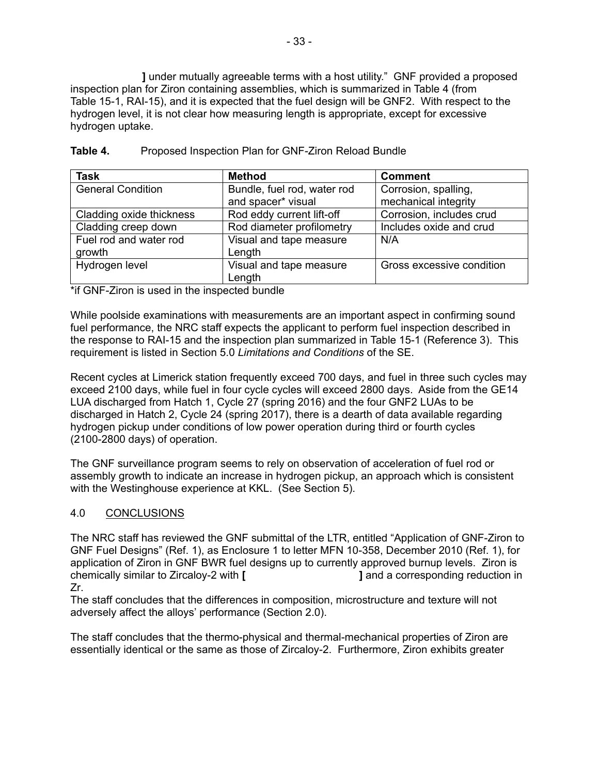**]** under mutually agreeable terms with a host utility." GNF provided a proposed inspection plan for Ziron containing assemblies, which is summarized in Table 4 (from Table 15-1, RAI-15), and it is expected that the fuel design will be GNF2. With respect to the hydrogen level, it is not clear how measuring length is appropriate, except for excessive hydrogen uptake.

| <b>Task</b>              | <b>Method</b>               | <b>Comment</b>            |
|--------------------------|-----------------------------|---------------------------|
| <b>General Condition</b> | Bundle, fuel rod, water rod | Corrosion, spalling,      |
|                          | and spacer* visual          | mechanical integrity      |
| Cladding oxide thickness | Rod eddy current lift-off   | Corrosion, includes crud  |
| Cladding creep down      | Rod diameter profilometry   | Includes oxide and crud   |
| Fuel rod and water rod   | Visual and tape measure     | N/A                       |
| growth                   | Length                      |                           |
| Hydrogen level           | Visual and tape measure     | Gross excessive condition |
|                          | Length                      |                           |

### **Table 4.** Proposed Inspection Plan for GNF-Ziron Reload Bundle

\*if GNF-Ziron is used in the inspected bundle

While poolside examinations with measurements are an important aspect in confirming sound fuel performance, the NRC staff expects the applicant to perform fuel inspection described in the response to RAI-15 and the inspection plan summarized in Table 15-1 (Reference 3). This requirement is listed in Section 5.0 *Limitations and Conditions* of the SE.

Recent cycles at Limerick station frequently exceed 700 days, and fuel in three such cycles may exceed 2100 days, while fuel in four cycle cycles will exceed 2800 days. Aside from the GE14 LUA discharged from Hatch 1, Cycle 27 (spring 2016) and the four GNF2 LUAs to be discharged in Hatch 2, Cycle 24 (spring 2017), there is a dearth of data available regarding hydrogen pickup under conditions of low power operation during third or fourth cycles (2100-2800 days) of operation.

The GNF surveillance program seems to rely on observation of acceleration of fuel rod or assembly growth to indicate an increase in hydrogen pickup, an approach which is consistent with the Westinghouse experience at KKL. (See Section 5).

# 4.0 CONCLUSIONS

The NRC staff has reviewed the GNF submittal of the LTR, entitled "Application of GNF-Ziron to GNF Fuel Designs" (Ref. 1), as Enclosure 1 to letter MFN 10-358, December 2010 (Ref. 1), for application of Ziron in GNF BWR fuel designs up to currently approved burnup levels. Ziron is chemically similar to Zircaloy-2 with **[ ]** and a corresponding reduction in Zr.

The staff concludes that the differences in composition, microstructure and texture will not adversely affect the alloys' performance (Section 2.0).

The staff concludes that the thermo-physical and thermal-mechanical properties of Ziron are essentially identical or the same as those of Zircaloy-2. Furthermore, Ziron exhibits greater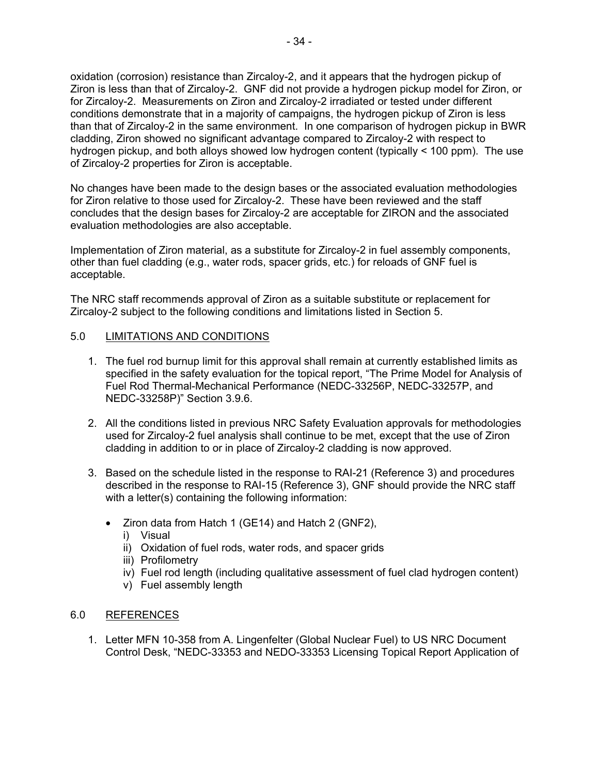oxidation (corrosion) resistance than Zircaloy-2, and it appears that the hydrogen pickup of Ziron is less than that of Zircaloy-2. GNF did not provide a hydrogen pickup model for Ziron, or for Zircaloy-2. Measurements on Ziron and Zircaloy-2 irradiated or tested under different conditions demonstrate that in a majority of campaigns, the hydrogen pickup of Ziron is less than that of Zircaloy-2 in the same environment. In one comparison of hydrogen pickup in BWR cladding, Ziron showed no significant advantage compared to Zircaloy-2 with respect to hydrogen pickup, and both alloys showed low hydrogen content (typically < 100 ppm). The use of Zircaloy-2 properties for Ziron is acceptable.

No changes have been made to the design bases or the associated evaluation methodologies for Ziron relative to those used for Zircaloy-2. These have been reviewed and the staff concludes that the design bases for Zircaloy-2 are acceptable for ZIRON and the associated evaluation methodologies are also acceptable.

Implementation of Ziron material, as a substitute for Zircaloy-2 in fuel assembly components, other than fuel cladding (e.g., water rods, spacer grids, etc.) for reloads of GNF fuel is acceptable.

The NRC staff recommends approval of Ziron as a suitable substitute or replacement for Zircaloy-2 subject to the following conditions and limitations listed in Section 5.

# 5.0 LIMITATIONS AND CONDITIONS

- 1. The fuel rod burnup limit for this approval shall remain at currently established limits as specified in the safety evaluation for the topical report, "The Prime Model for Analysis of Fuel Rod Thermal-Mechanical Performance (NEDC-33256P, NEDC-33257P, and NEDC-33258P)" Section 3.9.6.
- 2. All the conditions listed in previous NRC Safety Evaluation approvals for methodologies used for Zircaloy-2 fuel analysis shall continue to be met, except that the use of Ziron cladding in addition to or in place of Zircaloy-2 cladding is now approved.
- 3. Based on the schedule listed in the response to RAI-21 (Reference 3) and procedures described in the response to RAI-15 (Reference 3), GNF should provide the NRC staff with a letter(s) containing the following information:
	- Ziron data from Hatch 1 (GE14) and Hatch 2 (GNF2),
		- i) Visual
		- ii) Oxidation of fuel rods, water rods, and spacer grids
		- iii) Profilometry
		- iv) Fuel rod length (including qualitative assessment of fuel clad hydrogen content)
		- v) Fuel assembly length

#### 6.0 REFERENCES

1. Letter MFN 10-358 from A. Lingenfelter (Global Nuclear Fuel) to US NRC Document Control Desk, "NEDC-33353 and NEDO-33353 Licensing Topical Report Application of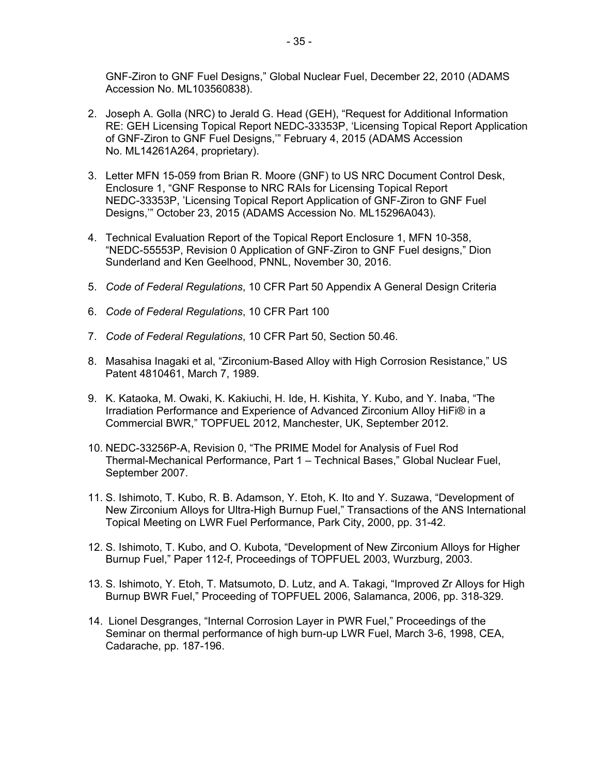GNF-Ziron to GNF Fuel Designs," Global Nuclear Fuel, December 22, 2010 (ADAMS Accession No. ML103560838).

- 2. Joseph A. Golla (NRC) to Jerald G. Head (GEH), "Request for Additional Information RE: GEH Licensing Topical Report NEDC-33353P, 'Licensing Topical Report Application of GNF-Ziron to GNF Fuel Designs,'" February 4, 2015 (ADAMS Accession No. ML14261A264, proprietary).
- 3. Letter MFN 15-059 from Brian R. Moore (GNF) to US NRC Document Control Desk, Enclosure 1, "GNF Response to NRC RAIs for Licensing Topical Report NEDC-33353P, 'Licensing Topical Report Application of GNF-Ziron to GNF Fuel Designs,'" October 23, 2015 (ADAMS Accession No. ML15296A043).
- 4. Technical Evaluation Report of the Topical Report Enclosure 1, MFN 10-358, "NEDC-55553P, Revision 0 Application of GNF-Ziron to GNF Fuel designs," Dion Sunderland and Ken Geelhood, PNNL, November 30, 2016.
- 5. *Code of Federal Regulations*, 10 CFR Part 50 Appendix A General Design Criteria
- 6. *Code of Federal Regulations*, 10 CFR Part 100
- 7. *Code of Federal Regulations*, 10 CFR Part 50, Section 50.46.
- 8. Masahisa Inagaki et al, "Zirconium-Based Alloy with High Corrosion Resistance," US Patent 4810461, March 7, 1989.
- 9. K. Kataoka, M. Owaki, K. Kakiuchi, H. Ide, H. Kishita, Y. Kubo, and Y. Inaba, "The Irradiation Performance and Experience of Advanced Zirconium Alloy HiFi® in a Commercial BWR," TOPFUEL 2012, Manchester, UK, September 2012.
- 10. NEDC-33256P-A, Revision 0, "The PRIME Model for Analysis of Fuel Rod Thermal-Mechanical Performance, Part 1 – Technical Bases," Global Nuclear Fuel, September 2007.
- 11. S. Ishimoto, T. Kubo, R. B. Adamson, Y. Etoh, K. Ito and Y. Suzawa, "Development of New Zirconium Alloys for Ultra-High Burnup Fuel," Transactions of the ANS International Topical Meeting on LWR Fuel Performance, Park City, 2000, pp. 31-42.
- 12. S. Ishimoto, T. Kubo, and O. Kubota, "Development of New Zirconium Alloys for Higher Burnup Fuel," Paper 112-f, Proceedings of TOPFUEL 2003, Wurzburg, 2003.
- 13. S. Ishimoto, Y. Etoh, T. Matsumoto, D. Lutz, and A. Takagi, "Improved Zr Alloys for High Burnup BWR Fuel," Proceeding of TOPFUEL 2006, Salamanca, 2006, pp. 318-329.
- 14. Lionel Desgranges, "Internal Corrosion Layer in PWR Fuel," Proceedings of the Seminar on thermal performance of high burn-up LWR Fuel, March 3-6, 1998, CEA, Cadarache, pp. 187-196.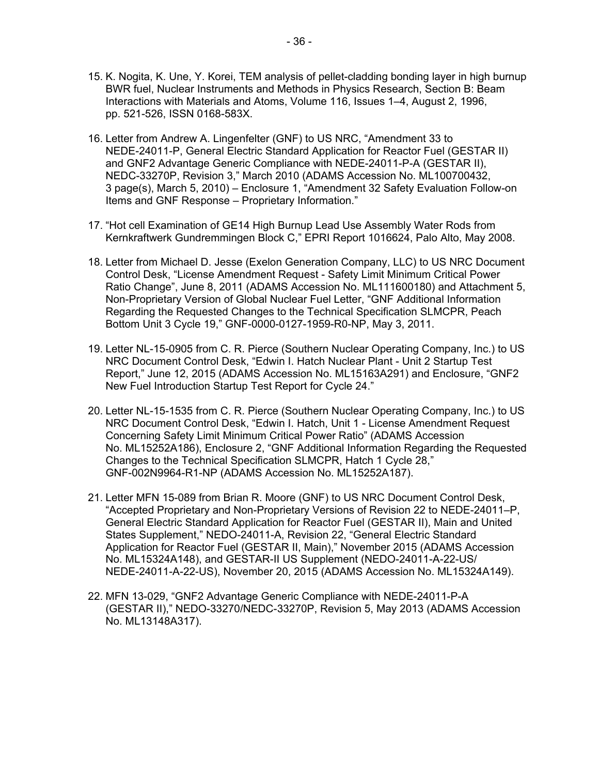- 15. K. Nogita, K. Une, Y. Korei, TEM analysis of pellet-cladding bonding layer in high burnup BWR fuel, Nuclear Instruments and Methods in Physics Research, Section B: Beam Interactions with Materials and Atoms, Volume 116, Issues 1–4, August 2, 1996, pp. 521-526, ISSN 0168-583X.
- 16. Letter from Andrew A. Lingenfelter (GNF) to US NRC, "Amendment 33 to NEDE-24011-P, General Electric Standard Application for Reactor Fuel (GESTAR II) and GNF2 Advantage Generic Compliance with NEDE-24011-P-A (GESTAR II), NEDC-33270P, Revision 3," March 2010 (ADAMS Accession No. ML100700432, 3 page(s), March 5, 2010) – Enclosure 1, "Amendment 32 Safety Evaluation Follow-on Items and GNF Response – Proprietary Information."
- 17. "Hot cell Examination of GE14 High Burnup Lead Use Assembly Water Rods from Kernkraftwerk Gundremmingen Block C," EPRI Report 1016624, Palo Alto, May 2008.
- 18. Letter from Michael D. Jesse (Exelon Generation Company, LLC) to US NRC Document Control Desk, "License Amendment Request - Safety Limit Minimum Critical Power Ratio Change", June 8, 2011 (ADAMS Accession No. ML111600180) and Attachment 5, Non-Proprietary Version of Global Nuclear Fuel Letter, "GNF Additional Information Regarding the Requested Changes to the Technical Specification SLMCPR, Peach Bottom Unit 3 Cycle 19," GNF-0000-0127-1959-R0-NP, May 3, 2011.
- 19. Letter NL-15-0905 from C. R. Pierce (Southern Nuclear Operating Company, Inc.) to US NRC Document Control Desk, "Edwin I. Hatch Nuclear Plant - Unit 2 Startup Test Report," June 12, 2015 (ADAMS Accession No. ML15163A291) and Enclosure, "GNF2 New Fuel Introduction Startup Test Report for Cycle 24."
- 20. Letter NL-15-1535 from C. R. Pierce (Southern Nuclear Operating Company, Inc.) to US NRC Document Control Desk, "Edwin I. Hatch, Unit 1 - License Amendment Request Concerning Safety Limit Minimum Critical Power Ratio" (ADAMS Accession No. ML15252A186), Enclosure 2, "GNF Additional Information Regarding the Requested Changes to the Technical Specification SLMCPR, Hatch 1 Cycle 28," GNF-002N9964-R1-NP (ADAMS Accession No. ML15252A187).
- 21. Letter MFN 15-089 from Brian R. Moore (GNF) to US NRC Document Control Desk, "Accepted Proprietary and Non-Proprietary Versions of Revision 22 to NEDE-24011–P, General Electric Standard Application for Reactor Fuel (GESTAR II), Main and United States Supplement," NEDO-24011-A, Revision 22, "General Electric Standard Application for Reactor Fuel (GESTAR II, Main)," November 2015 (ADAMS Accession No. ML15324A148), and GESTAR-II US Supplement (NEDO-24011-A-22-US/ NEDE-24011-A-22-US), November 20, 2015 (ADAMS Accession No. ML15324A149).
- 22. MFN 13-029, "GNF2 Advantage Generic Compliance with NEDE-24011-P-A (GESTAR II)," NEDO-33270/NEDC-33270P, Revision 5, May 2013 (ADAMS Accession No. ML13148A317).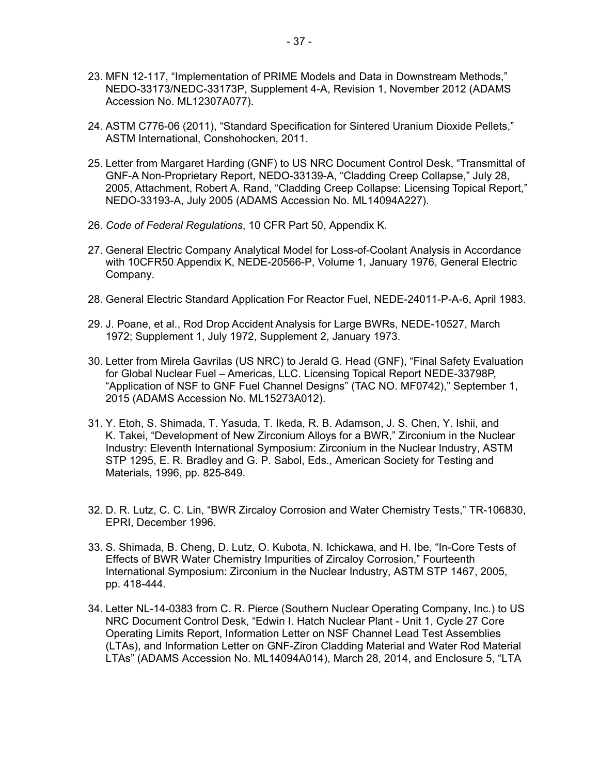- 23. MFN 12-117, "Implementation of PRIME Models and Data in Downstream Methods," NEDO-33173/NEDC-33173P, Supplement 4-A, Revision 1, November 2012 (ADAMS Accession No. ML12307A077).
- 24. ASTM C776-06 (2011), "Standard Specification for Sintered Uranium Dioxide Pellets," ASTM International, Conshohocken, 2011.
- 25. Letter from Margaret Harding (GNF) to US NRC Document Control Desk, "Transmittal of GNF-A Non-Proprietary Report, NEDO-33139-A, "Cladding Creep Collapse," July 28, 2005, Attachment, Robert A. Rand, "Cladding Creep Collapse: Licensing Topical Report," NEDO-33193-A, July 2005 (ADAMS Accession No. ML14094A227).
- 26. *Code of Federal Regulations*, 10 CFR Part 50, Appendix K.
- 27. General Electric Company Analytical Model for Loss-of-Coolant Analysis in Accordance with 10CFR50 Appendix K, NEDE-20566-P, Volume 1, January 1976, General Electric Company.
- 28. General Electric Standard Application For Reactor Fuel, NEDE-24011-P-A-6, April 1983.
- 29. J. Poane, et al., Rod Drop Accident Analysis for Large BWRs, NEDE-10527, March 1972; Supplement 1, July 1972, Supplement 2, January 1973.
- 30. Letter from Mirela Gavrilas (US NRC) to Jerald G. Head (GNF), "Final Safety Evaluation for Global Nuclear Fuel – Americas, LLC. Licensing Topical Report NEDE-33798P, "Application of NSF to GNF Fuel Channel Designs" (TAC NO. MF0742)," September 1, 2015 (ADAMS Accession No. ML15273A012).
- 31. Y. Etoh, S. Shimada, T. Yasuda, T. Ikeda, R. B. Adamson, J. S. Chen, Y. Ishii, and K. Takei, "Development of New Zirconium Alloys for a BWR," Zirconium in the Nuclear Industry: Eleventh International Symposium: Zirconium in the Nuclear Industry, ASTM STP 1295, E. R. Bradley and G. P. Sabol, Eds., American Society for Testing and Materials, 1996, pp. 825-849.
- 32. D. R. Lutz, C. C. Lin, "BWR Zircaloy Corrosion and Water Chemistry Tests," TR-106830, EPRI, December 1996.
- 33. S. Shimada, B. Cheng, D. Lutz, O. Kubota, N. Ichickawa, and H. Ibe, "In-Core Tests of Effects of BWR Water Chemistry Impurities of Zircaloy Corrosion," Fourteenth International Symposium: Zirconium in the Nuclear Industry, ASTM STP 1467, 2005, pp. 418-444.
- 34. Letter NL-14-0383 from C. R. Pierce (Southern Nuclear Operating Company, Inc.) to US NRC Document Control Desk, "Edwin I. Hatch Nuclear Plant - Unit 1, Cycle 27 Core Operating Limits Report, Information Letter on NSF Channel Lead Test Assemblies (LTAs), and Information Letter on GNF-Ziron Cladding Material and Water Rod Material LTAs" (ADAMS Accession No. ML14094A014), March 28, 2014, and Enclosure 5, "LTA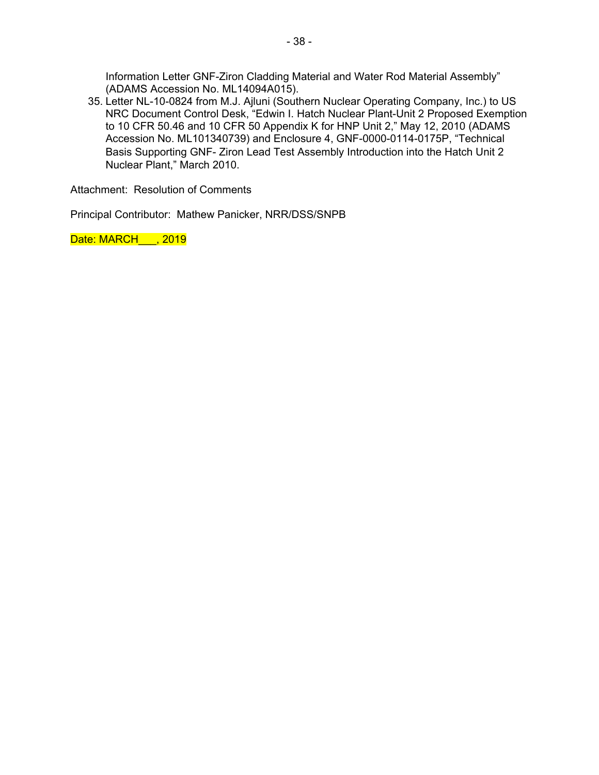Information Letter GNF-Ziron Cladding Material and Water Rod Material Assembly" (ADAMS Accession No. ML14094A015).

35. Letter NL-10-0824 from M.J. Ajluni (Southern Nuclear Operating Company, Inc.) to US NRC Document Control Desk, "Edwin I. Hatch Nuclear Plant-Unit 2 Proposed Exemption to 10 CFR 50.46 and 10 CFR 50 Appendix K for HNP Unit 2," May 12, 2010 (ADAMS Accession No. ML101340739) and Enclosure 4, GNF-0000-0114-0175P, "Technical Basis Supporting GNF- Ziron Lead Test Assembly Introduction into the Hatch Unit 2 Nuclear Plant," March 2010.

Attachment: Resolution of Comments

Principal Contributor: Mathew Panicker, NRR/DSS/SNPB

Date: MARCH , 2019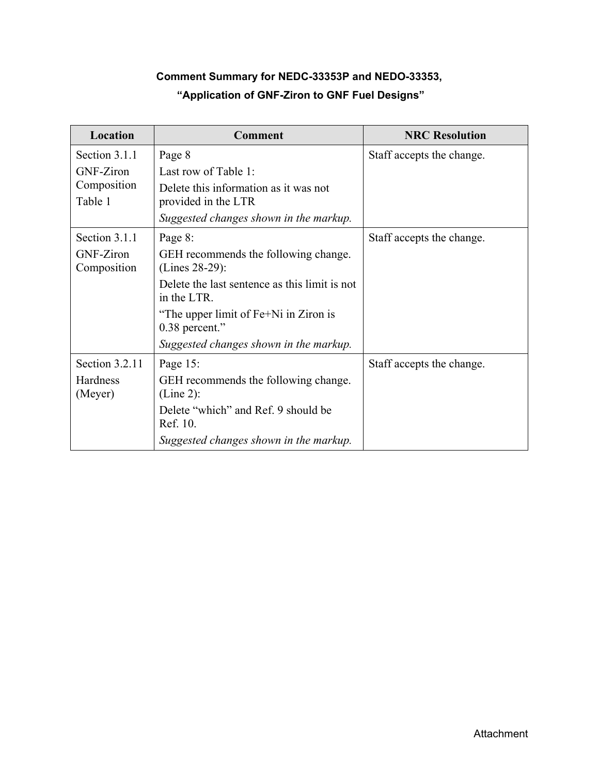# **Comment Summary for NEDC-33353P and NEDO-33353, "Application of GNF-Ziron to GNF Fuel Designs"**

| Location        | <b>Comment</b>                                               | <b>NRC Resolution</b>     |
|-----------------|--------------------------------------------------------------|---------------------------|
| Section 3.1.1   | Page 8                                                       | Staff accepts the change. |
| GNF-Ziron       | Last row of Table 1:                                         |                           |
| Composition     | Delete this information as it was not                        |                           |
| Table 1         | provided in the LTR                                          |                           |
|                 | Suggested changes shown in the markup.                       |                           |
| Section 3.1.1   | Page 8:                                                      | Staff accepts the change. |
| GNF-Ziron       | GEH recommends the following change.                         |                           |
| Composition     | (Lines 28-29):                                               |                           |
|                 | Delete the last sentence as this limit is not<br>in the LTR. |                           |
|                 | "The upper limit of Fe+Ni in Ziron is<br>$0.38$ percent."    |                           |
|                 | Suggested changes shown in the markup.                       |                           |
| Section 3.2.11  | Page 15:                                                     | Staff accepts the change. |
| <b>Hardness</b> | GEH recommends the following change.                         |                           |
| (Meyer)         | $(Line 2)$ :                                                 |                           |
|                 | Delete "which" and Ref. 9 should be<br>Ref. 10.              |                           |
|                 | Suggested changes shown in the markup.                       |                           |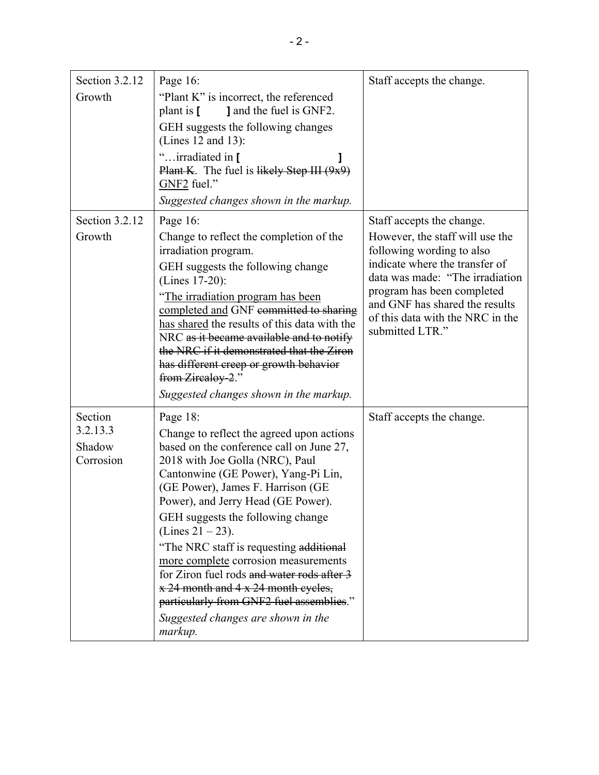| Section 3.2.12<br>Growth<br>Section 3.2.12 | Page 16:<br>"Plant K" is incorrect, the referenced<br>plant is [<br><b>J</b> and the fuel is GNF2.<br>GEH suggests the following changes<br>(Lines $12$ and $13$ ):<br>"irradiated in [<br><b>Plant K.</b> The fuel is likely Step III $(9x9)$<br>GNF2 fuel."<br>Suggested changes shown in the markup.<br>Page 16:                                                                                                                                                                                                                                                                     | Staff accepts the change.<br>Staff accepts the change.                                                                                                                                                                                                   |
|--------------------------------------------|-----------------------------------------------------------------------------------------------------------------------------------------------------------------------------------------------------------------------------------------------------------------------------------------------------------------------------------------------------------------------------------------------------------------------------------------------------------------------------------------------------------------------------------------------------------------------------------------|----------------------------------------------------------------------------------------------------------------------------------------------------------------------------------------------------------------------------------------------------------|
| Growth                                     | Change to reflect the completion of the<br>irradiation program.<br>GEH suggests the following change<br>(Lines 17-20):<br>"The irradiation program has been<br>completed and GNF committed to sharing<br>has shared the results of this data with the<br>NRC as it became available and to notify<br>the NRC if it demonstrated that the Ziron<br>has different creep or growth behavior<br>from Zircaloy-2."<br>Suggested changes shown in the markup.                                                                                                                                 | However, the staff will use the<br>following wording to also<br>indicate where the transfer of<br>data was made: "The irradiation<br>program has been completed<br>and GNF has shared the results<br>of this data with the NRC in the<br>submitted LTR." |
| Section<br>3.2.13.3<br>Shadow<br>Corrosion | Page 18:<br>Change to reflect the agreed upon actions<br>based on the conference call on June 27,<br>2018 with Joe Golla (NRC), Paul<br>Cantonwine (GE Power), Yang-Pi Lin,<br>(GE Power), James F. Harrison (GE<br>Power), and Jerry Head (GE Power).<br>GEH suggests the following change<br>(Lines $21 - 23$ ).<br>"The NRC staff is requesting additional<br>more complete corrosion measurements<br>for Ziron fuel rods and water rods after 3<br>x 24 month and 4 x 24 month cycles,<br>particularly from GNF2 fuel assemblies."<br>Suggested changes are shown in the<br>markup. | Staff accepts the change.                                                                                                                                                                                                                                |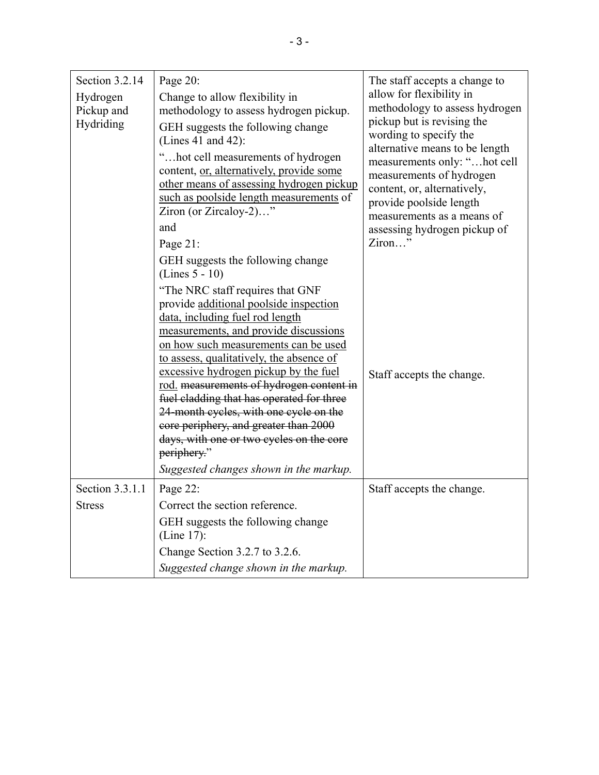| Section 3.2.14<br>Hydrogen<br>Pickup and<br>Hydriding | Page 20:<br>Change to allow flexibility in<br>methodology to assess hydrogen pickup.<br>GEH suggests the following change<br>(Lines 41 and 42):<br>"hot cell measurements of hydrogen<br>content, or, alternatively, provide some<br>other means of assessing hydrogen pickup<br>such as poolside length measurements of<br>Ziron (or Zircaloy-2)"<br>and                                                                                                                                                                                                                                                                                 | The staff accepts a change to<br>allow for flexibility in<br>methodology to assess hydrogen<br>pickup but is revising the<br>wording to specify the<br>alternative means to be length<br>measurements only: "hot cell<br>measurements of hydrogen<br>content, or, alternatively,<br>provide poolside length<br>measurements as a means of<br>assessing hydrogen pickup of |
|-------------------------------------------------------|-------------------------------------------------------------------------------------------------------------------------------------------------------------------------------------------------------------------------------------------------------------------------------------------------------------------------------------------------------------------------------------------------------------------------------------------------------------------------------------------------------------------------------------------------------------------------------------------------------------------------------------------|---------------------------------------------------------------------------------------------------------------------------------------------------------------------------------------------------------------------------------------------------------------------------------------------------------------------------------------------------------------------------|
|                                                       | Page 21:<br>GEH suggests the following change<br>$(Lines 5 - 10)$<br>"The NRC staff requires that GNF<br>provide additional poolside inspection<br>data, including fuel rod length<br>measurements, and provide discussions<br>on how such measurements can be used<br>to assess, qualitatively, the absence of<br>excessive hydrogen pickup by the fuel<br>rod. measurements of hydrogen content in<br>fuel cladding that has operated for three<br>24-month cycles, with one cycle on the<br>core periphery, and greater than 2000<br>days, with one or two cycles on the core<br>periphery."<br>Suggested changes shown in the markup. | Ziron"<br>Staff accepts the change.                                                                                                                                                                                                                                                                                                                                       |
| Section 3.3.1.1<br><b>Stress</b>                      | Page 22:<br>Correct the section reference.<br>GEH suggests the following change<br>(Line 17):<br>Change Section 3.2.7 to 3.2.6.<br>Suggested change shown in the markup.                                                                                                                                                                                                                                                                                                                                                                                                                                                                  | Staff accepts the change.                                                                                                                                                                                                                                                                                                                                                 |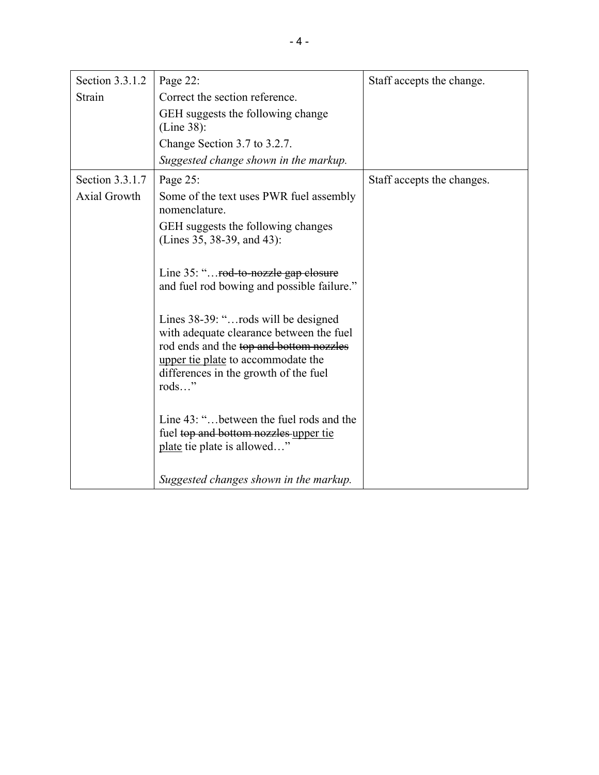| Section 3.3.1.2     | Page 22:                                                                                                                                                                                                            | Staff accepts the change.  |
|---------------------|---------------------------------------------------------------------------------------------------------------------------------------------------------------------------------------------------------------------|----------------------------|
| Strain              | Correct the section reference.                                                                                                                                                                                      |                            |
|                     | GEH suggests the following change<br>(Line 38):                                                                                                                                                                     |                            |
|                     | Change Section 3.7 to 3.2.7.                                                                                                                                                                                        |                            |
|                     | Suggested change shown in the markup.                                                                                                                                                                               |                            |
| Section 3.3.1.7     | Page 25:                                                                                                                                                                                                            | Staff accepts the changes. |
| <b>Axial Growth</b> | Some of the text uses PWR fuel assembly<br>nomenclature.                                                                                                                                                            |                            |
|                     | GEH suggests the following changes<br>(Lines 35, 38-39, and 43):                                                                                                                                                    |                            |
|                     | Line 35: " <del>rod-to-nozzle gap closure</del><br>and fuel rod bowing and possible failure."                                                                                                                       |                            |
|                     | Lines 38-39: "rods will be designed<br>with adequate clearance between the fuel<br>rod ends and the top and bottom nozzles<br>upper tie plate to accommodate the<br>differences in the growth of the fuel<br>rod s" |                            |
|                     | Line 43: "between the fuel rods and the<br>fuel top and bottom nozzles upper tie<br>plate tie plate is allowed"                                                                                                     |                            |
|                     | Suggested changes shown in the markup.                                                                                                                                                                              |                            |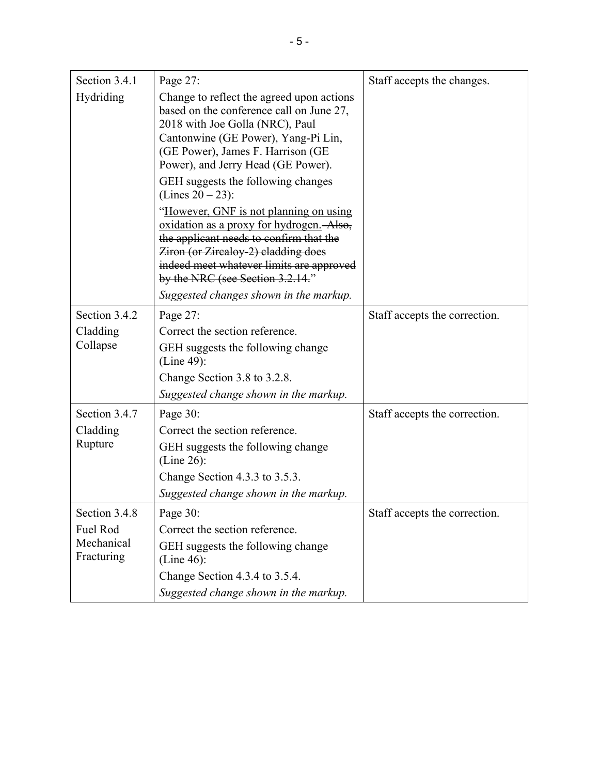| Section 3.4.1                        | Page 27:                                                                                                                                                                                                                                             | Staff accepts the changes.    |
|--------------------------------------|------------------------------------------------------------------------------------------------------------------------------------------------------------------------------------------------------------------------------------------------------|-------------------------------|
| Hydriding                            | Change to reflect the agreed upon actions<br>based on the conference call on June 27,<br>2018 with Joe Golla (NRC), Paul<br>Cantonwine (GE Power), Yang-Pi Lin,<br>(GE Power), James F. Harrison (GE<br>Power), and Jerry Head (GE Power).           |                               |
|                                      | GEH suggests the following changes<br>(Lines $20 - 23$ ):                                                                                                                                                                                            |                               |
|                                      | "However, GNF is not planning on using<br>oxidation as a proxy for hydrogen. Also,<br>the applicant needs to confirm that the<br>Ziron (or Zircaloy-2) cladding does<br>indeed meet whatever limits are approved<br>by the NRC (see Section 3.2.14." |                               |
|                                      | Suggested changes shown in the markup.                                                                                                                                                                                                               |                               |
| Section 3.4.2                        | Page 27:                                                                                                                                                                                                                                             | Staff accepts the correction. |
| Cladding                             | Correct the section reference.                                                                                                                                                                                                                       |                               |
| Collapse                             | GEH suggests the following change<br>$(Line 49)$ :                                                                                                                                                                                                   |                               |
|                                      | Change Section 3.8 to 3.2.8.                                                                                                                                                                                                                         |                               |
|                                      | Suggested change shown in the markup.                                                                                                                                                                                                                |                               |
| Section 3.4.7                        | Page 30:                                                                                                                                                                                                                                             | Staff accepts the correction. |
| Cladding<br>Rupture                  | Correct the section reference.                                                                                                                                                                                                                       |                               |
|                                      | GEH suggests the following change<br>$(Line 26)$ :                                                                                                                                                                                                   |                               |
|                                      | Change Section 4.3.3 to 3.5.3.                                                                                                                                                                                                                       |                               |
|                                      | Suggested change shown in the markup.                                                                                                                                                                                                                |                               |
| Section 3.4.8                        | Page 30:                                                                                                                                                                                                                                             | Staff accepts the correction. |
| Fuel Rod<br>Mechanical<br>Fracturing | Correct the section reference.                                                                                                                                                                                                                       |                               |
|                                      | GEH suggests the following change<br>$(Line 46)$ :                                                                                                                                                                                                   |                               |
|                                      | Change Section 4.3.4 to 3.5.4.                                                                                                                                                                                                                       |                               |
|                                      | Suggested change shown in the markup.                                                                                                                                                                                                                |                               |